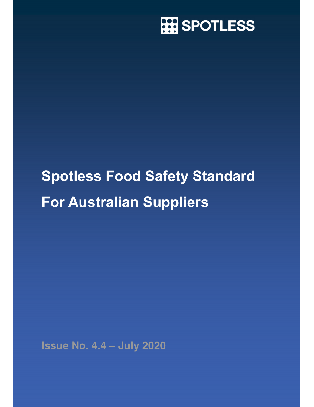

# Spotless Food Safety Standard For Australian Suppliers

**Issue No. 4.4 – July 2020**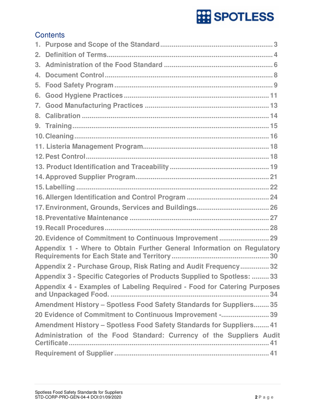# **Contents**

| 2.             |                                                                         |
|----------------|-------------------------------------------------------------------------|
| 3.             |                                                                         |
| $4_{-}$        |                                                                         |
| 5 <sub>1</sub> |                                                                         |
| 6.             |                                                                         |
| 7.             |                                                                         |
| 8.             |                                                                         |
|                |                                                                         |
|                |                                                                         |
|                |                                                                         |
|                |                                                                         |
|                |                                                                         |
|                |                                                                         |
|                |                                                                         |
|                |                                                                         |
|                |                                                                         |
|                |                                                                         |
|                |                                                                         |
|                | 20. Evidence of Commitment to Continuous Improvement  29                |
|                | Appendix 1 - Where to Obtain Further General Information on Regulatory  |
|                | Appendix 2 - Purchase Group, Risk Rating and Audit Frequency 32         |
|                | Appendix 3 - Specific Categories of Products Supplied to Spotless:  33  |
|                | Appendix 4 - Examples of Labeling Required - Food for Catering Purposes |
|                | Amendment History - Spotless Food Safety Standards for Suppliers 35     |
|                | 20 Evidence of Commitment to Continuous Improvement -39                 |
|                | Amendment History - Spotless Food Safety Standards for Suppliers 41     |
|                | Administration of the Food Standard: Currency of the Suppliers Audit    |
|                |                                                                         |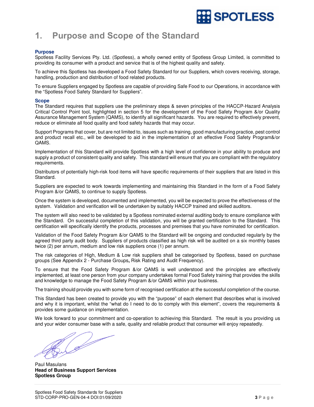

# 1. Purpose and Scope of the Standard

# **Purpose**

Spotless Facility Services Pty. Ltd. (Spotless), a wholly owned entity of Spotless Group Limited, is committed to providing its consumer with a product and service that is of the highest quality and safety.

To achieve this Spotless has developed a Food Safety Standard for our Suppliers, which covers receiving, storage, handling, production and distribution of food related products.

To ensure Suppliers engaged by Spotless are capable of providing Safe Food to our Operations, in accordance with the "Spotless Food Safety Standard for Suppliers".

### **Scope**

The Standard requires that suppliers use the preliminary steps & seven principles of the HACCP-Hazard Analysis Critical Control Point tool, highlighted in section 5 for the development of the Food Safety Program &/or Quality Assurance Management System (QAMS), to identify all significant hazards. You are required to effectively prevent, reduce or eliminate all food quality and food safety hazards that may occur.

Support Programs that cover, but are not limited to, issues such as training, good manufacturing practice, pest control and product recall etc., will be developed to aid in the implementation of an effective Food Safety Program&/or QAMS.

Implementation of this Standard will provide Spotless with a high level of confidence in your ability to produce and supply a product of consistent quality and safety. This standard will ensure that you are compliant with the regulatory requirements.

Distributors of potentially high-risk food items will have specific requirements of their suppliers that are listed in this Standard.

Suppliers are expected to work towards implementing and maintaining this Standard in the form of a Food Safety Program &/or QAMS, to continue to supply Spotless.

Once the system is developed, documented and implemented, you will be expected to prove the effectiveness of the system. Validation and verification will be undertaken by suitably HACCP trained and skilled auditors.

The system will also need to be validated by a Spotless nominated external auditing body to ensure compliance with the Standard. On successful completion of this validation, you will be granted certification to the Standard. This certification will specifically identify the products, processes and premises that you have nominated for certification.

Validation of the Food Safety Program &/or QAMS to the Standard will be ongoing and conducted regularly by the agreed third party audit body. Suppliers of products classified as high risk will be audited on a six monthly bases twice (2) per annum, medium and low risk suppliers once (1) per annum.

The risk categories of High, Medium & Low risk suppliers shall be categorised by Spotless, based on purchase groups (See Appendix 2 - Purchase Groups**,** Risk Rating and Audit Frequency).

To ensure that the Food Safety Program &/or QAMS is well understood and the principles are effectively implemented, at least one person from your company undertakes formal Food Safety training that provides the skills and knowledge to manage the Food Safety Program &/or QAMS within your business.

The training should provide you with some form of recognised certification at the successful completion of the course.

This Standard has been created to provide you with the "purpose" of each element that describes what is involved and why it is important, whilst the "what do I need to do to comply with this element", covers the requirements & provides some guidance on implementation.

We look forward to your commitment and co-operation to achieving this Standard. The result is you providing us and your wider consumer base with a safe, quality and reliable product that consumer will enjoy repeatedly.

Paul Masulans **Head of Business Support Services Spotless Group**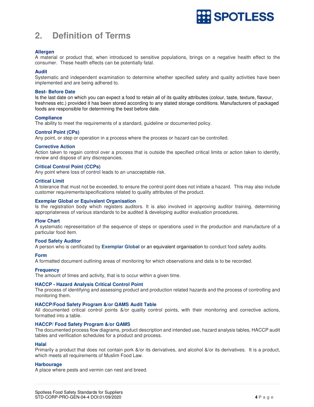

# **2. Definition of Terms**

# **Allergen**

A material or product that, when introduced to sensitive populations, brings on a negative health effect to the consumer. These health effects can be potentially fatal.

# **Audit**

Systematic and independent examination to determine whether specified safety and quality activities have been implemented and are being adhered to.

# **Best- Before Date**

Is the last date on which you can expect a food to retain all of its quality attributes (colour, taste, texture, flavour, freshness etc.) provided it has been stored according to any stated storage conditions. Manufacturers of packaged foods are responsible for determining the best before date.

# **Compliance**

The ability to meet the requirements of a standard, guideline or documented policy.

# **Control Point (CPs)**

Any point, or step or operation in a process where the process or hazard can be controlled.

# **Corrective Action**

Action taken to regain control over a process that is outside the specified critical limits or action taken to identify, review and dispose of any discrepancies.

# **Critical Control Point (CCPs)**

Any point where loss of control leads to an unacceptable risk.

# **Critical Limit**

A tolerance that must not be exceeded, to ensure the control point does not initiate a hazard. This may also include customer requirements/specifications related to quality attributes of the product.

# **Exemplar Global or Equivalent Organisation**

Is the registration body which registers auditors. It is also involved in approving auditor training, determining appropriateness of various standards to be audited & developing auditor evaluation procedures.

# **Flow Chart**

A systematic representation of the sequence of steps or operations used in the production and manufacture of a particular food item.

# **Food Safety Auditor**

A person who is certificated by **Exemplar Global** or an equivalent organisation to conduct food safety audits.

# **Form**

A formatted document outlining areas of monitoring for which observations and data is to be recorded.

# **Frequency**

The amount of times and activity, that is to occur within a given time.

# **HACCP - Hazard Analysis Critical Control Point**

The process of identifying and assessing product and production related hazards and the process of controlling and monitoring them.

# **HACCP/Food Safety Program &/or QAMS Audit Table**

All documented critical control points &/or quality control points, with their monitoring and corrective actions, formatted into a table.

# **HACCP/ Food Safety Program &/or QAMS**

The documented process flow diagrams, product description and intended use, hazard analysis tables, HACCP audit tables and verification schedules for a product and process.

#### **Halal**

Primarily a product that does not contain pork &/or its derivatives, and alcohol &/or its derivatives. It is a product, which meets all requirements of Muslim Food Law.

# **Harbourage**

A place where pests and vermin can nest and breed.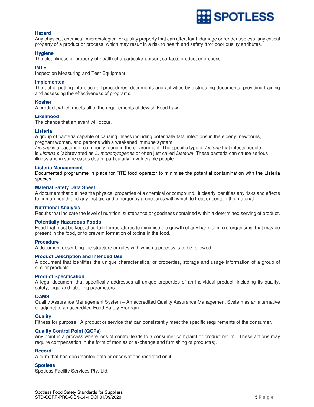

# **Hazard**

Any physical, chemical, microbiological or quality property that can alter, taint, damage or render useless, any critical property of a product or process, which may result in a risk to health and safety &/or poor quality attributes.

### **Hygiene**

The cleanliness or property of health of a particular person, surface, product or process.

#### **IMTE**

Inspection Measuring and Test Equipment.

### **Implemented**

The act of putting into place all procedures, documents and activities by distributing documents, providing training and assessing the effectiveness of programs.

# **Kosher**

A product, which meets all of the requirements of Jewish Food Law.

### **Likelihood**

The chance that an event will occur.

### **Listeria**

A group of bacteria capable of causing illness including potentially fatal infections in the elderly, newborns, pregnant women, and persons with a weakened immune system.

Listeria is a bacterium commonly found in the environment. The specific type of Listeria that infects people is Listeria s (abbreviated as L. monocytogenes or often just called Listeria). These bacteria can cause serious illness and in some cases death, particularly in vulnerable people.

#### **Listeria Management**

Documented programme in place for RTE food operator to minimise the potential contamination with the Listeria species.

### **Material Safety Data Sheet**

A document that outlines the physical properties of a chemical or compound. It clearly identifies any risks and effects to human health and any first aid and emergency procedures with which to treat or contain the material.

### **Nutritional Analysis**

Results that indicate the level of nutrition, sustenance or goodness contained within a determined serving of product.

### **Potentially Hazardous Foods**

Food that must be kept at certain temperatures to minimise the growth of any harmful micro-organisms, that may be present in the food, or to prevent formation of toxins in the food.

# **Procedure**

A document describing the structure or rules with which a process is to be followed.

# **Product Description and Intended Use**

A document that identifies the unique characteristics, or properties, storage and usage information of a group of similar products.

# **Product Specification**

A legal document that specifically addresses all unique properties of an individual product, including its quality, safety, legal and labelling parameters.

# **QAMS**

Quality Assurance Management System – An accredited Quality Assurance Management System as an alternative or adjunct to an accredited Food Safety Program.

# **Quality**

Fitness for purpose. A product or service that can consistently meet the specific requirements of the consumer.

# **Quality Control Point (QCPs)**

Any point in a process where loss of control leads to a consumer complaint or product return. These actions may require compensation in the form of monies or exchange and furnishing of product(s).

# **Record**

A form that has documented data or observations recorded on it.

#### **Spotless**

Spotless Facility Services Pty. Ltd.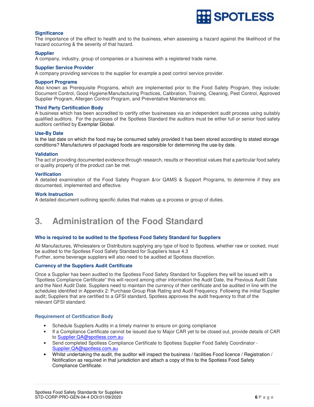

# **Significance**

The importance of the effect to health and to the business, when assessing a hazard against the likelihood of the hazard occurring & the severity of that hazard.

# **Supplier**

A company, industry, group of companies or a business with a registered trade name.

# **Supplier Service Provider**

A company providing services to the supplier for example a pest control service provider.

### **Support Programs**

Also known as Prerequisite Programs, which are implemented prior to the Food Safety Program, they include: Document Control, Good Hygiene/Manufacturing Practices, Calibration, Training, Cleaning, Pest Control, Approved Supplier Program, Allergen Control Program, and Preventative Maintenance etc.

# **Third Party Certification Body**

A business which has been accredited to certify other businesses via an independent audit process using suitably qualified auditors. For the purposes of the Spotless Standard the auditors must be either full or senior food safety auditors certified by Exemplar Global.

### **Use-By Date**

Is the last date on which the food may be consumed safely provided it has been stored according to stated storage conditions? Manufacturers of packaged foods are responsible for determining the use-by date.

# **Validation**

The act of providing documented evidence through research, results or theoretical values that a particular food safety or quality property of the product can be met.

# **Verification**

A detailed examination of the Food Safety Program &/or QAMS & Support Programs, to determine if they are documented, implemented and effective.

### **Work Instruction**

A detailed document outlining specific duties that makes up a process or group of duties.

# **3. Administration of the Food Standard**

# **Who is required to be audited to the Spotless Food Safety Standard for Suppliers**

All Manufactures, Wholesalers or Distributors supplying any type of food to Spotless, whether raw or cooked, must be audited to the Spotless Food Safety Standard for Suppliers Issue 4.3 Further, some beverage suppliers will also need to be audited at Spotless discretion.

**Currency of the Suppliers Audit Certificate** 

Once a Supplier has been audited to the Spotless Food Safety Standard for Suppliers they will be issued with a "Spotless Compliance Certificate" this will record among other information the Audit Date, the Previous Audit Date and the Next Audit Date. Suppliers need to maintain the currency of their certificate and be audited in line with the schedules identified in Appendix 2: Purchase Group Risk Rating and Audit Frequency. Following the initial Supplier audit; Suppliers that are certified to a GFSI standard, Spotless approves the audit frequency to that of the relevant GFSI standard.

# **Requirement of Certification Body**

- Schedule Suppliers Audits in a timely manner to ensure on going compliance
- If a Compliance Certificate cannot be issued due to Major CAR yet to be closed out, provide details of CAR to Supplier.QA@spotless.com.au
- Send completed Spotless Compliance Certificate to Spotless Supplier Food Safety Coordinator Supplier.QA@spotless.com.au
- Whilst undertaking the audit, the auditor will inspect the business / facilities Food licence / Registration / Notification as required in that jurisdiction and attach a copy of this to the Spotless Food Safety Compliance Certificate.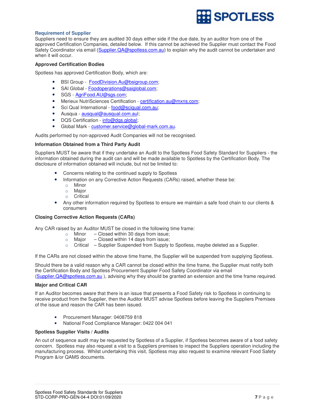

# **Requirement of Supplier**

Suppliers need to ensure they are audited 30 days either side if the due date, by an auditor from one of the approved Certification Companies, detailed below. If this cannot be achieved the Supplier must contact the Food Safety Coordinator via email (Supplier.QA@spotless.com.au) to explain why the audit cannot be undertaken and when it will occur.

# **Approved Certification Bodies**

Spotless has approved Certification Body, which are:

- BSI Group FoodDivision.Au@bsigroup.com;
- SAI Global Foodoperations@saiglobal.com;
- SGS AgriFood.AU@sgs.com;
- Merieux NutriSciences Certification certification.au@mxns.com;
- Sci Qual International food@sciqual.com.au;
- Ausqua ausqual@ausqual.com.aul;
- DQS Certification info@dqs.global;
- Global Mark customer.service@global-mark.com.au.

Audits performed by non-approved Audit Companies will not be recognised.

# **Information Obtained from a Third Party Audit**

Suppliers MUST be aware that if they undertake an Audit to the Spotless Food Safety Standard for Suppliers - the information obtained during the audit can and will be made available to Spotless by the Certification Body. The disclosure of information obtained will include, but not be limited to:

- Concerns relating to the continued supply to Spotless
- Information on any Corrective Action Requests (CARs) raised, whether these be:
	- o Minor
	- o Major
	- o Critical
- Any other information required by Spotless to ensure we maintain a safe food chain to our clients & consumers

# **Closing Corrective Action Requests (CARs)**

Any CAR raised by an Auditor MUST be closed in the following time frame:

- $\circ$  Minor Closed within 30 days from issue;
- $\circ$  Major Closed within 14 days from issue;
- $\circ$  Critical Supplier Suspended from Supply to Spotless, maybe deleted as a Supplier.

If the CARs are not closed within the above time frame, the Supplier will be suspended from supplying Spotless.

Should there be a valid reason why a CAR cannot be closed within the time frame, the Supplier must notify both the Certification Body and Spotless Procurement Supplier Food Safety Coordinator via email (Supplier.QA@spotless.com.au ), advising why they should be granted an extension and the time frame required.

# **Major and Critical CAR**

If an Auditor becomes aware that there is an issue that presents a Food Safety risk to Spotless in continuing to receive product from the Supplier, then the Auditor MUST advise Spotless before leaving the Suppliers Premises of the issue and reason the CAR has been issued.

- Procurement Manager: 0408759 818
- National Food Compliance Manager: 0422 004 041

# **Spotless Supplier Visits / Audits**

An out of sequence audit may be requested by Spotless of a Supplier, if Spotless becomes aware of a food safety concern. Spotless may also request a visit to a Suppliers premises to inspect the Suppliers operation including the manufacturing process. Whilst undertaking this visit, Spotless may also request to examine relevant Food Safety Program &/or QAMS documents.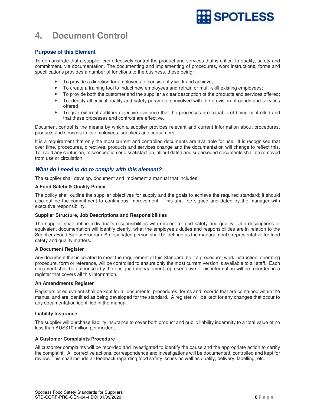

# **4. Document Control**

# **Purpose of this Element**

To demonstrate that a supplier can effectively control the product and services that is critical to quality, safety and commitment, via documentation. The documenting and implementing of procedures, work instructions, forms and specifications provides a number of functions to the business, these being:

- To provide a direction for employees to consistently work and achieve;
- To create a training tool to induct new employees and retrain or multi-skill existing employees;
- To provide both the customer and the supplier a clear description of the products and services offered;
- To identify all critical quality and safety parameters involved with the provision of goods and services offered;
- To give external auditors objective evidence that the processes are capable of being controlled and that these processes and controls are effective.

Document control is the means by which a supplier provides relevant and current information about procedures, products and services to its employees, suppliers and consumers.

It is a requirement that only the most current and controlled documents are available for use. It is recognised that over time, procedures, directives, products and services change and the documentation will change to reflect this. To avoid any confusion, misconception or dissatisfaction, all out dated and superseded documents shall be removed from use or circulation.

# **What do I need to do to comply with this element?**

The supplier shall develop, document and implement a manual that includes:

# **A Food Safety & Quality Policy**

The policy shall outline the supplier objectives for supply and the goals to achieve the required standard; it should also outline the commitment to continuous improvement. This shall be signed and dated by the manager with executive responsibility.

# **Supplier Structure, Job Descriptions and Responsibilities**

The supplier shall define individual's responsibilities with respect to food safety and quality. Job descriptions or equivalent documentation will identify clearly, what the employee's duties and responsibilities are in relation to the Suppliers Food Safety Program. A designated person shall be defined as the management's representative for food safety and quality matters.

# **A Document Register**

Any document that is created to meet the requirement of this Standard, be it a procedure, work instruction, operating procedure, form or reference, will be controlled to ensure only the most current version is available to all staff. Each document shall be authorised by the designed management representative. This information will be recorded in a register that covers all this information.

# **An Amendments Register**

Registers or equivalent shall be kept for all documents, procedures, forms and records that are contained within the manual and are identified as being developed for the standard. A register will be kept for any changes that occur to any documentation identified in the manual.

# **Liability Insurance**

The supplier will purchase liability insurance to cover both product and public liability indemnity to a total value of no less than AUS\$10 million per incident.

# **A Customer Complaints Procedure**

All customer complaints will be recorded and investigated to identify the cause and the appropriate action to certify the complaint. All corrective actions, correspondence and investigations will be documented, controlled and kept for review. This shall include all feedback regarding food safety issues as well as quality, delivery, labelling, etc.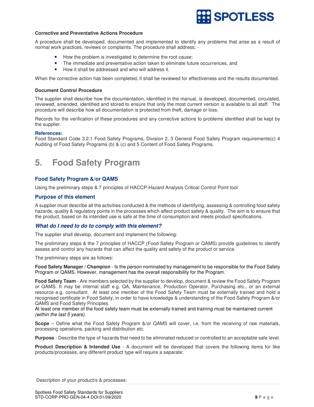

# **Corrective and Preventative Actions Procedure**

A procedure shall be developed, documented and implemented to identify any problems that arise as a result of normal work practices, reviews or complaints. The procedure shall address: -

- How the problem is investigated to determine the root cause;
- The immediate and preventative action taken to eliminate future occurrences, and
- How it shall be addressed and who will address it.

When the corrective action has been completed, it shall be reviewed for effectiveness and the results documented.

# **Document Control Procedure**

The supplier shall describe how the documentation, identified in the manual, is developed, documented, circulated, reviewed, amended, identified and stored to ensure that only the most current version is available to all staff. The procedure will describe how all documentation is protected from theft, damage or loss.

Records for the verification of these procedures and any corrective actions to problems identified shall be kept by the supplier.

# **References:**

Food Standard Code 3.2.1 Food Safety Programs, Division 2, 3 General Food Safety Program requirements(c) 4 Auditing of Food Safety Programs (b) & (c) and 5 Content of Food Safety Programs.

# **5. Food Safety Program**

# **Food Safety Program &/or QAMS**

Using the preliminary steps & 7 principles of HACCP-Hazard Analysis Critical Control Point tool.

# **Purpose of this element**

A supplier must describe all the activities conducted & the methods of identifying, assessing & controlling food safety hazards, quality & regulatory points in the processes which affect product safety & quality. The aim is to ensure that the product, based on its intended use is safe at the time of consumption and meets product specifications.

# **What do I need to do to comply with this element?**

The supplier shall develop, document and implement the following:

The preliminary steps & the 7 principles of HACCP (Food Safety Program or QAMS) provide guidelines to identify assess and control any hazards that can affect the quality and safety of the product or service.

The preliminary steps are as follows:

**Food Safety Manager / Champion** - Is the person nominated by management to be responsible for the Food Safety Program or QAMS. However, management has the overall responsibility for the Program.

**Food Safety Team** - Are members selected by the supplier to develop, document & review the Food Safety Program or QAMS. It may be internal staff e.g. QA, Maintenance, Production Operator, Purchasing etc., or an external resource e.g. consultant. At least one member of the Food Safety Team must be externally trained and hold a recognised certificate in Food Safety, in order to have knowledge & understanding of the Food Safety Program &/or QAMS and Food Safety Principles.

At least one member of the food safety team must be externally trained and training must be maintained current (within the last 5 years).

**Scope** – Define what the Food Safety Program &/or QAMS will cover, i.e. from the receiving of raw materials, processing operations, packing and distribution etc.

**Purpose** - Describe the type of hazards that need to be eliminated reduced or controlled to an acceptable safe level.

**Product Description & Intended Use** - A document will be developed that covers the following items for like products/processes, any different product type will require a separate:

Description of your product/s & processes: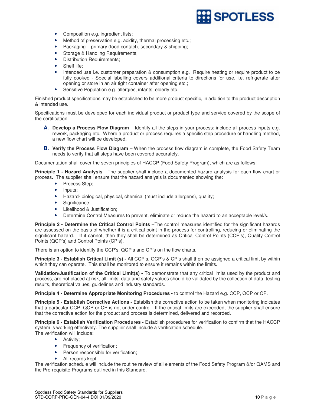

- Composition e.g. ingredient lists;
- Method of preservation e.g. acidity, thermal processing etc.;
- Packaging primary (food contact), secondary & shipping;
- Storage & Handling Requirements;
- Distribution Requirements;
- Shelf life:
- Intended use i.e. customer preparation & consumption e.g. Require heating or require product to be fully cooked - Special labelling covers additional criteria to directions for use, i.e. refrigerate after opening or store in an air tight container after opening etc.;
- Sensitive Population e.g. allergies, infants, elderly etc.

Finished product specifications may be established to be more product specific, in addition to the product description & intended use.

Specifications must be developed for each individual product or product type and service covered by the scope of the certification.

- **A. Develop a Process Flow Diagram** Identify all the steps in your process; include all process inputs e.g. rework, packaging etc. Where a product or process requires a specific step procedure or handling method, a new flow chart will be developed.
- **B. Verify the Process Flow Diagram** When the process flow diagram is complete, the Food Safety Team needs to verify that all steps have been covered accurately.

Documentation shall cover the seven principles of HACCP (Food Safety Program), which are as follows:

**Principle 1 - Hazard Analysis** - The supplier shall include a documented hazard analysis for each flow chart or process**.** The supplier shall ensure that the hazard analysis is documented showing the:

- Process Step;
- Inputs;
- Hazard- biological, physical, chemical (must include allergens), quality;
- Significance:
- Likelihood & Justification;
- Determine Control Measures to prevent, eliminate or reduce the hazard to an acceptable level/s.

**Principle 2 - Determine the Critical Control Points** –The control measures identified for the significant hazards are assessed on the basis of whether it is a critical point in the process for controlling, reducing or eliminating the significant hazard. If it cannot, then they shall be determined as Critical Control Points (CCP's), Quality Control Points (QCP's) and Control Points (CP's).

There is an option to identify the CCP's, QCP's and CP's on the flow charts.

**Principle 3 - Establish Critical Limit (s) -** All CCP's, QCP's & CP's shall then be assigned a critical limit by within which they can operate. This shall be monitored to ensure it remains within the limits.

**Validation/Justification of the Critical Limit(s) -** To demonstrate that any critical limits used by the product and process, are not placed at risk, all limits, data and safety values should be validated by the collection of data, testing results, theoretical values, guidelines and industry standards.

**Principle 4 - Determine Appropriate Monitoring Procedures -** to control the Hazard e.g. CCP, QCP or CP.

**Principle 5 - Establish Corrective Actions -** Establish the corrective action to be taken when monitoring indicates that a particular CCP, QCP or CP is not under control. If the critical limits are exceeded, the supplier shall ensure that the corrective action for the product and process is determined, delivered and recorded.

**Principle 6 - Establish Verification Procedures -** Establish procedures for verification to confirm that the HACCP system is working effectively. The supplier shall include a verification schedule. The verification will include:

- Activity;
	- Frequency of verification;
- Person responsible for verification;
- All records kept.

The verification schedule will include the routine review of all elements of the Food Safety Program &/or QAMS and the Pre-requisite Programs outlined in this Standard.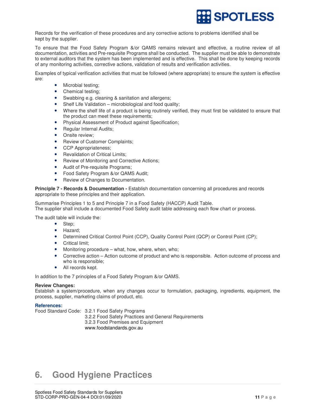

Records for the verification of these procedures and any corrective actions to problems identified shall be kept by the supplier.

To ensure that the Food Safety Program &/or QAMS remains relevant and effective, a routine review of all documentation, activities and Pre-requisite Programs shall be conducted. The supplier must be able to demonstrate to external auditors that the system has been implemented and is effective. This shall be done by keeping records of any monitoring activities, corrective actions, validation of results and verification activities.

Examples of typical verification activities that must be followed (where appropriate) to ensure the system is effective are:

- Microbial testing;
- Chemical testing;
- Swabbing e.g. cleaning & sanitation and allergens;
- Shelf Life Validation microbiological and food quality;
- Where the shelf life of a product is being routinely verified, they must first be validated to ensure that the product can meet these requirements;
- Physical Assessment of Product against Specification;
- Regular Internal Audits;
- Onsite review;
- Review of Customer Complaints;
- CCP Appropriateness:
- Revalidation of Critical Limits;
- Review of Monitoring and Corrective Actions;
- Audit of Pre-requisite Programs;
- Food Safety Program &/or QAMS Audit;
- Review of Changes to Documentation.

**Principle 7 - Records & Documentation -** Establish documentation concerning all procedures and records appropriate to these principles and their application.

Summarise Principles 1 to 5 and Principle 7 in a Food Safety (HACCP) Audit Table.

The supplier shall include a documented Food Safety audit table addressing each flow chart or process.

The audit table will include the:

- Step;
- Hazard;
- Determined Critical Control Point (CCP), Quality Control Point (QCP) or Control Point (CP);
- Critical limit;
- Monitoring procedure what, how, where, when, who;
- Corrective action Action outcome of product and who is responsible. Action outcome of process and who is responsible;
- All records kept.

In addition to the 7 principles of a Food Safety Program &/or QAMS.

# **Review Changes:**

Establish a system/procedure, when any changes occur to formulation, packaging, ingredients, equipment, the process, supplier, marketing claims of product, etc.

# **References:**

Food Standard Code: 3.2.1 Food Safety Programs

 3.2.2 Food Safety Practices and General Requirements 3.2.3 Food Premises and Equipment www.foodstandards.gov.au

# **6. Good Hygiene Practices**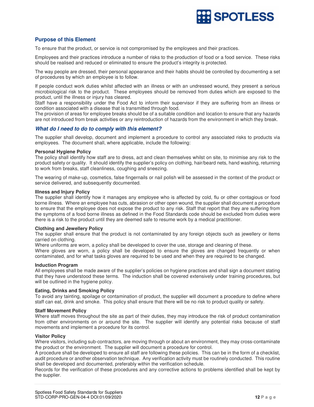

# **Purpose of this Element**

To ensure that the product, or service is not compromised by the employees and their practices.

Employees and their practices introduce a number of risks to the production of food or a food service. These risks should be realised and reduced or eliminated to ensure the product's integrity is protected.

The way people are dressed, their personal appearance and their habits should be controlled by documenting a set of procedures by which an employee is to follow.

If people conduct work duties whilst affected with an illness or with an undressed wound, they present a serious microbiological risk to the product. These employees should be removed from duties which are exposed to the product, until the illness or injury has cleared.

Staff have a responsibility under the Food Act to inform their supervisor if they are suffering from an illness or condition associated with a disease that is transmitted through food.

The provision of areas for employee breaks should be of a suitable condition and location to ensure that any hazards are not introduced from break activities or any reintroduction of hazards from the environment in which they break.

# **What do I need to do to comply with this element?**

The supplier shall develop, document and implement a procedure to control any associated risks to products via employees. The document shall, where applicable, include the following:

### **Personal Hygiene Policy**

The policy shall identify how staff are to dress, act and clean themselves whilst on site, to minimise any risk to the product safety or quality. It should identify the supplier's policy on clothing, hair/beard nets, hand washing, returning to work from breaks, staff cleanliness, coughing and sneezing.

The wearing of make-up, cosmetics, false fingernails or nail polish will be assessed in the context of the product or service delivered, and subsequently documented.

### **Illness and Injury Policy**

The supplier shall identify how it manages any employee who is affected by cold, flu or other contagious or food borne illness. Where an employee has cuts, abrasion or other open wound, the supplier shall document a procedure to ensure that the employee does not expose the product to any risk. Staff that report that they are suffering from the symptoms of a food borne illness as defined in the Food Standards code should be excluded from duties were there is a risk to the product until they are deemed safe to resume work by a medical practitioner.

# **Clothing and Jewellery Policy**

The supplier shall ensure that the product is not contaminated by any foreign objects such as jewellery or items carried on clothing.

Where uniforms are worn, a policy shall be developed to cover the use, storage and cleaning of these.

Where gloves are worn, a policy shall be developed to ensure the gloves are changed frequently or when contaminated, and for what tasks gloves are required to be used and when they are required to be changed.

### **Induction Program**

All employees shall be made aware of the supplier's policies on hygiene practices and shall sign a document stating that they have understood these terms. The induction shall be covered extensively under training procedures, but will be outlined in the hygiene policy.

# **Eating, Drinks and Smoking Policy**

To avoid any tainting, spoilage or contamination of product, the supplier will document a procedure to define where staff can eat, drink and smoke. This policy shall ensure that there will be no risk to product quality or safety.

# **Staff Movement Policy**

Where staff moves throughout the site as part of their duties, they may introduce the risk of product contamination from other environments on or around the site. The supplier will identify any potential risks because of staff movements and implement a procedure for its control.

# **Visitor Policy**

Where visitors, including sub-contractors, are moving through or about an environment, they may cross-contaminate the product or the environment. The supplier will document a procedure for control.

A procedure shall be developed to ensure all staff are following these policies. This can be in the form of a checklist, audit procedure or another observation technique. Any verification activity must be routinely conducted. This routine shall be developed and documented, preferably within the verification schedule.

Records for the verification of these procedures and any corrective actions to problems identified shall be kept by the supplier.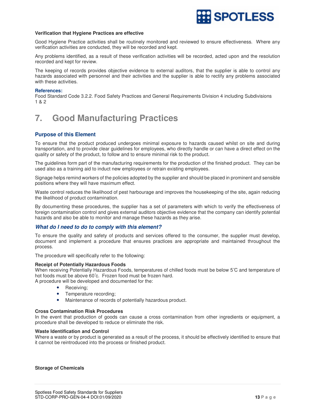

### **Verification that Hygiene Practices are effective**

Good Hygiene Practice activities shall be routinely monitored and reviewed to ensure effectiveness. Where any verification activities are conducted, they will be recorded and kept.

Any problems identified, as a result of these verification activities will be recorded, acted upon and the resolution recorded and kept for review.

The keeping of records provides objective evidence to external auditors, that the supplier is able to control any hazards associated with personnel and their activities and the supplier is able to rectify any problems associated with these activities.

### **References:**

Food Standard Code 3.2.2. Food Safety Practices and General Requirements Division 4 including Subdivisions 1 & 2

# **7. Good Manufacturing Practices**

# **Purpose of this Element**

To ensure that the product produced undergoes minimal exposure to hazards caused whilst on site and during transportation, and to provide clear guidelines for employees, who directly handle or can have a direct effect on the quality or safety of the product, to follow and to ensure minimal risk to the product.

The guidelines form part of the manufacturing requirements for the production of the finished product. They can be used also as a training aid to induct new employees or retrain existing employees.

Signage helps remind workers of the policies adopted by the supplier and should be placed in prominent and sensible positions where they will have maximum effect.

Waste control reduces the likelihood of pest harbourage and improves the housekeeping of the site, again reducing the likelihood of product contamination.

By documenting these procedures, the supplier has a set of parameters with which to verify the effectiveness of foreign contamination control and gives external auditors objective evidence that the company can identify potential hazards and also be able to monitor and manage these hazards as they arise.

# **What do I need to do to comply with this element?**

To ensure the quality and safety of products and services offered to the consumer, the supplier must develop, document and implement a procedure that ensures practices are appropriate and maintained throughout the process.

The procedure will specifically refer to the following:

#### **Receipt of Potentially Hazardous Foods**

When receiving Potentially Hazardous Foods, temperatures of chilled foods must be below 5°C and temperature of hot foods must be above 60°c. Frozen food must be frozen hard.

A procedure will be developed and documented for the:

- Receiving;
- Temperature recording;
- Maintenance of records of potentially hazardous product.

#### **Cross Contamination Risk Procedures**

In the event that production of goods can cause a cross contamination from other ingredients or equipment, a procedure shall be developed to reduce or eliminate the risk.

#### **Waste Identification and Control**

Where a waste or by product is generated as a result of the process, it should be effectively identified to ensure that it cannot be reintroduced into the process or finished product.

#### **Storage of Chemicals**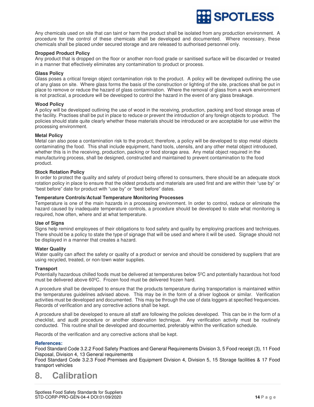

Any chemicals used on site that can taint or harm the product shall be isolated from any production environment. A procedure for the control of these chemicals shall be developed and documented. Where necessary, these chemicals shall be placed under secured storage and are released to authorised personnel only.

### **Dropped Product Policy**

Any product that is dropped on the floor or another non-food grade or sanitised surface will be discarded or treated in a manner that effectively eliminates any contamination to product or process.

#### **Glass Policy**

Glass poses a critical foreign object contamination risk to the product. A policy will be developed outlining the use of any glass on site. Where glass forms the basis of the construction or lighting of the site, practices shall be put in place to remove or reduce the hazard of glass contamination. Where the removal of glass from a work environment is not practical, a procedure will be developed to control the hazard in the event of any glass breakage.

### **Wood Policy**

A policy will be developed outlining the use of wood in the receiving, production, packing and food storage areas of the facility. Practises shall be put in place to reduce or prevent the introduction of any foreign objects to product. The policies should state quite clearly whether these materials should be introduced or are acceptable for use within the processing environment.

### **Metal Policy**

Metal can also pose a contamination risk to the product; therefore, a policy will be developed to stop metal objects contaminating the food. This shall include equipment, hand tools, utensils, and any other metal object introduced, whether this is in the receiving, production, packing or food storage area. Any metal object required in the manufacturing process, shall be designed, constructed and maintained to prevent contamination to the food product.

### **Stock Rotation Policy**

In order to protect the quality and safety of product being offered to consumers, there should be an adequate stock rotation policy in place to ensure that the oldest products and materials are used first and are within their "use by" or "best before" date for product with "use by" or "best before" dates.

### **Temperature Controls/Actual Temperature Monitoring Processes**

Temperature is one of the main hazards in a processing environment. In order to control, reduce or eliminate the hazard caused by inadequate temperature controls, a procedure should be developed to state what monitoring is required, how often, where and at what temperature.

# **Use of Signs**

Signs help remind employees of their obligations to food safety and quality by employing practices and techniques. There should be a policy to state the type of signage that will be used and where it will be used. Signage should not be displayed in a manner that creates a hazard.

#### **Water Quality**

Water quality can affect the safety or quality of a product or service and should be considered by suppliers that are using recycled, treated, or non-town water supplies.

# **Transport**

Potentially hazardous chilled foods must be delivered at temperatures below 5<sup>0</sup>C and potentially hazardous hot food must be delivered above 60°C. Frozen food must be delivered frozen hard.

A procedure shall be developed to ensure that the products temperature during transportation is maintained within the temperatures guidelines advised above. This may be in the form of a driver logbook or similar. Verification activities must be developed and documented. This may be through the use of data loggers at specified frequencies. Records of verification and any corrective actions shall be kept.

A procedure shall be developed to ensure all staff are following the policies developed. This can be in the form of a checklist, and audit procedure or another observation technique. Any verification activity must be routinely conducted. This routine shall be developed and documented, preferably within the verification schedule.

Records of the verification and any corrective actions shall be kept.

# **References:**

Food Standard Code 3.2.2 Food Safety Practices and General Requirements Division 3, 5 Food receipt (3), 11 Food Disposal, Division 4, 13 General requirements

Food Standard Code 3.2.3 Food Premises and Equipment Division 4, Division 5, 15 Storage facilities & 17 Food transport vehicles

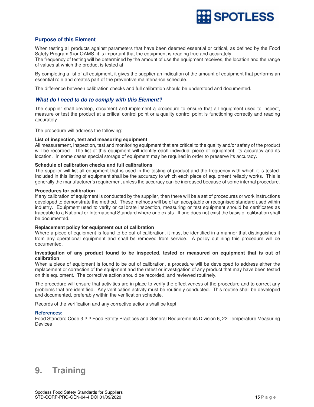

# **Purpose of this Element**

When testing all products against parameters that have been deemed essential or critical, as defined by the Food Safety Program &/or QAMS, it is important that the equipment is reading true and accurately.

The frequency of testing will be determined by the amount of use the equipment receives, the location and the range of values at which the product is tested at.

By completing a list of all equipment, it gives the supplier an indication of the amount of equipment that performs an essential role and creates part of the preventive maintenance schedule.

The difference between calibration checks and full calibration should be understood and documented.

# **What do I need to do to comply with this Element?**

The supplier shall develop, document and implement a procedure to ensure that all equipment used to inspect, measure or test the product at a critical control point or a quality control point is functioning correctly and reading accurately.

The procedure will address the following:

# **List of inspection, test and measuring equipment**

All measurement, inspection, test and monitoring equipment that are critical to the quality and/or safety of the product will be recorded. The list of this equipment will identify each individual piece of equipment, its accuracy and its location. In some cases special storage of equipment may be required in order to preserve its accuracy.

# **Schedule of calibration checks and full calibrations**

The supplier will list all equipment that is used in the testing of product and the frequency with which it is tested. Included in this listing of equipment shall be the accuracy to which each piece of equipment reliably works. This is generally the manufacturer's requirement unless the accuracy can be increased because of some internal procedure.

# **Procedures for calibration**

If any calibration of equipment is conducted by the supplier, then there will be a set of procedures or work instructions developed to demonstrate the method. These methods will be of an acceptable or recognised standard used within industry. Equipment used to verify or calibrate inspection, measuring or test equipment should be certificates as traceable to a National or International Standard where one exists. If one does not exist the basis of calibration shall be documented.

# **Replacement policy for equipment out of calibration**

Where a piece of equipment is found to be out of calibration, it must be identified in a manner that distinguishes it from any operational equipment and shall be removed from service. A policy outlining this procedure will be documented.

# **Investigation of any product found to be inspected, tested or measured on equipment that is out of calibration**

When a piece of equipment is found to be out of calibration, a procedure will be developed to address either the replacement or correction of the equipment and the retest or investigation of any product that may have been tested on this equipment. The corrective action should be recorded, and reviewed routinely.

The procedure will ensure that activities are in place to verify the effectiveness of the procedure and to correct any problems that are identified. Any verification activity must be routinely conducted. This routine shall be developed and documented, preferably within the verification schedule.

Records of the verification and any corrective actions shall be kept.

# **References:**

Food Standard Code 3.2.2 Food Safety Practices and General Requirements Division 6, 22 Temperature Measuring **Devices** 

# **9. Training**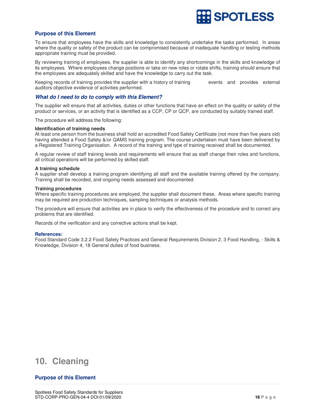

# **Purpose of this Element**

To ensure that employees have the skills and knowledge to consistently undertake the tasks performed. In areas where the quality or safety of the product can be compromised because of inadequate handling or testing methods appropriate training must be provided.

By reviewing training of employees, the supplier is able to identify any shortcomings in the skills and knowledge of its employees. Where employees change positions or take on new roles or rotate shifts, training should ensure that the employees are adequately skilled and have the knowledge to carry out the task.

Keeping records of training provides the supplier with a history of training events and provides external auditors objective evidence of activities performed.

# **What do I need to do to comply with this Element?**

The supplier will ensure that all activities, duties or other functions that have an effect on the quality or safety of the product or services, or an activity that is identified as a CCP, CP or QCP, are conducted by suitably trained staff.

The procedure will address the following:

### **Identification of training needs**

At least one person from the business shall hold an accredited Food Safety Certificate (not more than five years old) having attended a Food Safety &/or QAMS training program. The course undertaken must have been delivered by a Registered Training Organisation. A record of the training and type of training received shall be documented.

A regular review of staff training levels and requirements will ensure that as staff change their roles and functions, all critical operations will be performed by skilled staff.

### **A training schedule**

A supplier shall develop a training program identifying all staff and the available training offered by the company. Training shall be recorded, and ongoing needs assessed and documented.

# **Training procedures**

Where specific training procedures are employed, the supplier shall document these. Areas where specific training may be required are production techniques, sampling techniques or analysis methods.

The procedure will ensure that activities are in place to verify the effectiveness of the procedure and to correct any problems that are identified.

Records of the verification and any corrective actions shall be kept.

#### **References:**

Food Standard Code 3.2.2 Food Safety Practices and General Requirements Division 2, 3 Food Handling, - Skills & Knowledge, Division 4, 18 General duties of food business.

# **10. Cleaning**

# **Purpose of this Element**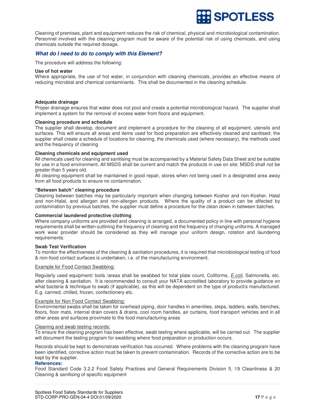

Cleaning of premises, plant and equipment reduces the risk of chemical, physical and microbiological contamination. Personnel involved with the cleaning program must be aware of the potential risk of using chemicals, and using chemicals outside the required dosage.

# **What do I need to do to comply with this Element?**

The procedure will address the following:

### **Use of hot water**

Where appropriate, the use of hot water, in conjunction with cleaning chemicals, provides an effective means of reducing microbial and chemical contaminants. This shall be documented in the cleaning schedule.

### **Adequate drainage**

Proper drainage ensures that water does not pool and create a potential microbiological hazard. The supplier shall implement a system for the removal of excess water from floors and equipment.

### **Cleaning procedure and schedule**

The supplier shall develop, document and implement a procedure for the cleaning of all equipment, utensils and surfaces. This will ensure all areas and items used for food preparation are effectively cleaned and sanitised; the supplier shall create a schedule of locations for cleaning, the chemicals used (where necessary), the methods used and the frequency of cleaning

### **Cleaning chemicals and equipment used**

All chemicals used for cleaning and sanitising must be accompanied by a Material Safety Data Sheet and be suitable for use in a food environment. All MSDS shall be current and match the products in use on site; MSDS shall not be greater than 5 years old.

All cleaning equipment shall be maintained in good repair, stores when not being used in a designated area away from all food products to ensure no contamination.

### **"Between batch" cleaning procedure**

Cleaning between batches may be particularly important when changing between Kosher and non-Kosher, Halal and non-Halal, and allergen and non-allergen products. Where the quality of a product can be affected by contamination by previous batches, the supplier must define a procedure for the clean down in between batches.

# **Commercial laundered protective clothing**

Where company uniforms are provided and cleaning is arranged, a documented policy in line with personal hygiene requirements shall be written outlining the frequency of cleaning and the frequency of changing uniforms. A managed work wear provider should be considered as they will manage your uniform design, rotation and laundering requirements.

#### **Swab Test Verification**

To monitor the effectiveness of the cleaning & sanitation procedures, it is required that microbiological testing of food & non-food contact surfaces is undertaken, i.e. of the manufacturing environment.

# Example for Food Contact Swabbing:

Regularly used equipment/ tools /areas shall be swabbed for total plate count, Coliforms, E.coli, Salmonella, etc. after cleaning & sanitation. It is recommended to consult your NATA accredited laboratory to provide guidance on what bacteria & technique to swab (if applicable), as this will be dependent on the type of product/s manufactured. E.g. canned, chilled, frozen, confectionery etc.

#### Example for Non Food Contact Swabbing:

Environmental swabs shall be taken for overhead piping, door handles in amenities, steps, ladders, walls, benches, floors, floor mats, internal drain covers & drains, cool room handles, air curtains, food transport vehicles and in all other areas and surfaces proximate to the food manufacturing areas

#### Cleaning and swab testing records:

To ensure the cleaning program has been effective, swab testing where applicable, will be carried out. The supplier will document the testing program for swabbing where food preparation or production occurs.

Records should be kept to demonstrate verification has occurred. Where problems with the cleaning program have been identified, corrective action must be taken to prevent contamination. Records of the corrective action are to be kept by the supplier.

#### **References:**

Food Standard Code 3.2.2 Food Safety Practices and General Requirements Division 5, 19 Cleanliness & 20 Cleaning & sanitising of specific equipment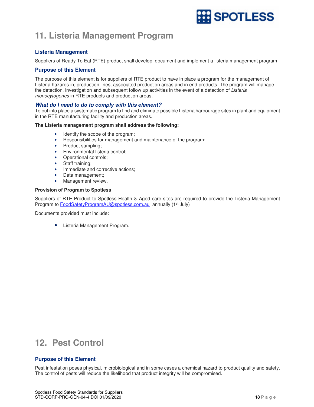# **SPOTLESS**

# **11. Listeria Management Program**

# **Listeria Management**

Suppliers of Ready To Eat (RTE) product shall develop, document and implement a listeria management program

# **Purpose of this Element**

The purpose of this element is for suppliers of RTE product to have in place a program for the management of Listeria hazards in, production lines, associated production areas and in end products. The program will manage the detection, investigation and subsequent follow up activities in the event of a detection of Listeria monocytogenes in RTE products and production areas.

# **What do I need to do to comply with this element?**

To put into place a systematic program to find and eliminate possible Listeria harbourage sites in plant and equipment in the RTE manufacturing facility and production areas.

# **The Listeria management program shall address the following:**

- Identify the scope of the program;
- Responsibilities for management and maintenance of the program;
- Product sampling;
- Environmental listeria control;
- Operational controls;
- Staff training;
- Immediate and corrective actions;
- Data management;
- Management review.

# **Provision of Program to Spotless**

Suppliers of RTE Product to Spotless Health & Aged care sites are required to provide the Listeria Management Program to FoodSafetyProgramAU@spotless.com.au annually (1<sup>st</sup> July)

Documents provided must include:

• Listeria Management Program.

# **12. Pest Control**

# **Purpose of this Element**

Pest infestation poses physical, microbiological and in some cases a chemical hazard to product quality and safety. The control of pests will reduce the likelihood that product integrity will be compromised.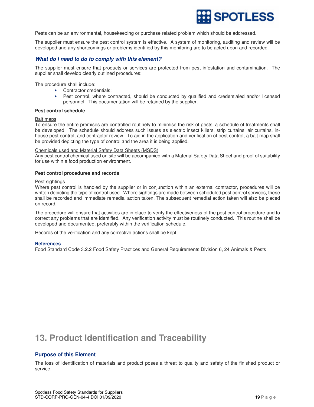

Pests can be an environmental, housekeeping or purchase related problem which should be addressed.

The supplier must ensure the pest control system is effective. A system of monitoring, auditing and review will be developed and any shortcomings or problems identified by this monitoring are to be acted upon and recorded.

# **What do I need to do to comply with this element?**

The supplier must ensure that products or services are protected from pest infestation and contamination. The supplier shall develop clearly outlined procedures:

The procedure shall include:

- Contractor credentials;
- Pest control, where contracted, should be conducted by qualified and credentialed and/or licensed personnel. This documentation will be retained by the supplier.

### **Pest control schedule**

#### Bait maps

To ensure the entire premises are controlled routinely to minimise the risk of pests, a schedule of treatments shall be developed. The schedule should address such issues as electric insect killers, strip curtains, air curtains, inhouse pest control, and contractor review. To aid in the application and verification of pest control, a bait map shall be provided depicting the type of control and the area it is being applied.

### Chemicals used and Material Safety Data Sheets (MSDS)

Any pest control chemical used on site will be accompanied with a Material Safety Data Sheet and proof of suitability for use within a food production environment.

### **Pest control procedures and records**

#### Pest sightings

Where pest control is handled by the supplier or in conjunction within an external contractor, procedures will be written depicting the type of control used. Where sightings are made between scheduled pest control services, these shall be recorded and immediate remedial action taken. The subsequent remedial action taken will also be placed on record.

The procedure will ensure that activities are in place to verify the effectiveness of the pest control procedure and to correct any problems that are identified. Any verification activity must be routinely conducted. This routine shall be developed and documented, preferably within the verification schedule.

Records of the verification and any corrective actions shall be kept.

# **References**

Food Standard Code 3.2.2 Food Safety Practices and General Requirements Division 6, 24 Animals & Pests

# **13. Product Identification and Traceability**

# **Purpose of this Element**

The loss of identification of materials and product poses a threat to quality and safety of the finished product or service.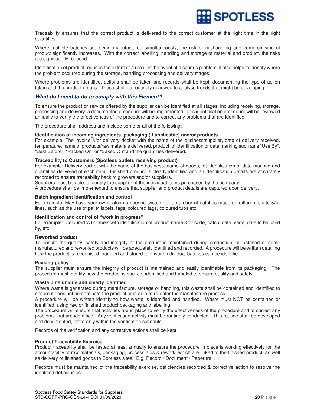

Traceability ensures that the correct product is delivered to the correct customer at the right time in the right quantities.

Where multiple batches are being manufactured simultaneously, the risk of mishandling and compromising of product significantly increases. With the correct labelling, handling and storage of material and product, the risks are significantly reduced.

Identification of product reduces the extent of a recall in the event of a serious problem, it also helps to identify where the problem occurred during the storage, handling processing and delivery stages.

Where problems are identified, actions shall be taken and records shall be kept, documenting the type of action taken and the product details. These shall be routinely reviewed to analyse trends that might be developing.

# **What do I need to do to comply with this Element?**

To ensure the product or service offered by the supplier can be identified at all stages, including receiving, storage, processing and delivery, a documented procedure will be implemented. This identification procedure will be reviewed annually to verify the effectiveness of the procedure and to correct any problems that are identified.

The procedure shall address and include some or all of the following:

### **Identification of incoming ingredients, packaging (if applicable) and/or products**

For example: The invoice &/or delivery docket with the name of the business/supplier, date of delivery received, temperature, name of products/raw materials delivered, product lot identification or date marking such as a "Use By", "Best Before", "Packed On" or "Baked On" and the quantities delivered.

# **Traceability to Customers (Spotless outlets receiving product)**

For example: Delivery docket with the name of the business, name of goods, lot identification or date marking and quantities delivered of each item. Finished product is clearly identified and all identification details are accurately recorded to ensure traceability back to growers and/or suppliers.

Suppliers must be able to identify the supplier of the individual items purchased by the company.

A procedure shall be implemented to ensure that supplier and product details are captured upon delivery.

# **Batch ingredient identification and control**

For example: May have your own batch numbering system for a number of batches made on different shifts &/or lines, such as the use of pallet labels, tags, coloured tags, coloured tubs etc.

### **Identification and control of "work in progress"**

For example: Coloured WIP labels with identification of product name &/or code, batch, date made, date to be used by, etc.

# **Reworked product**

To ensure the quality, safety and integrity of the product is maintained during production, all batched or semimanufactured and reworked products will be adequately identified and recorded. A procedure will be written detailing how the product is recognised, handled and stored to ensure individual batches can be identified.

#### **Packing policy**

The supplier must ensure the integrity of product is maintained and easily identifiable from its packaging. The procedure must identify how the product is packed, identified and handled to ensure quality and safety.

# **Waste bins unique and clearly identified**

Where waste is generated during manufacture, storage or handling, this waste shall be contained and identified to ensure it does not contaminate the product or is able to re-enter the manufacture process.

A procedure will be written identifying how waste is identified and handled. Waste must NOT be contained or identified, using raw or finished product packaging and labelling.

The procedure will ensure that activities are in place to verify the effectiveness of the procedure and to correct any problems that are identified. Any verification activity must be routinely conducted. This routine shall be developed and documented, preferably within the verification schedule.

Records of the verification and any corrective actions shall be kept.

#### **Product Traceability Exercise**

Product traceability shall be tested at least annually to ensure the procedure in place is working effectively for the accountability of raw materials, packaging, process aids & rework, which are linked to the finished product, as well as delivery of finished goods to Spotless sites. E.g. Record / Document / Paper trail.

Records must be maintained of the traceability exercise, deficiencies recorded & corrective action to resolve the identified deficiencies.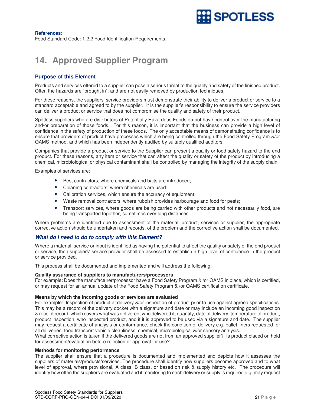

# **References:**

Food Standard Code: 1.2.2 Food Identification Requirements.

# **14. Approved Supplier Program**

# **Purpose of this Element**

Products and services offered to a supplier can pose a serious threat to the quality and safety of the finished product. Often the hazards are "brought in", and are not easily removed by production techniques.

For these reasons, the suppliers' service providers must demonstrate their ability to deliver a product or service to a standard acceptable and agreed to by the supplier. It is the supplier's responsibility to ensure the service providers can deliver a product or service that does not compromise the quality and safety of their product.

Spotless suppliers who are distributors of Potentially Hazardous Foods do not have control over the manufacturing and/or preparation of those foods. For this reason, it is important that the business can provide a high level of confidence in the safety of production of these foods. The only acceptable means of demonstrating confidence is to ensure that providers of product have processes which are being controlled through the Food Safety Program &/or QAMS method, and which has been independently audited by suitably qualified auditors.

Companies that provide a product or service to the Supplier can present a quality or food safety hazard to the end product. For these reasons, any item or service that can affect the quality or safety of the product by introducing a chemical, microbiological or physical contaminant shall be controlled by managing the integrity of the supply chain.

Examples of services are:

- Pest contractors, where chemicals and baits are introduced;
- Cleaning contractors, where chemicals are used;
- Calibration services, which ensure the accuracy of equipment;
- Waste removal contractors, where rubbish provides harbourage and food for pests;
- Transport services, where goods are being carried with other products and not necessarily food, are being transported together, sometimes over long distances.

Where problems are identified due to assessment of the material, product, services or supplier, the appropriate corrective action should be undertaken and records, of the problem and the corrective action shall be documented.

# **What do I need to do to comply with this Element?**

Where a material, service or input is identified as having the potential to affect the quality or safety of the end product or service, then suppliers' service provider shall be assessed to establish a high level of confidence in the product or service provided.

This process shall be documented and implemented and will address the following:

#### **Quality assurance of suppliers to manufacturers/processors**

For example: Does the manufacturer/processor have a Food Safety Program & /or QAMS in place, which is certified, or may request for an annual update of the Food Safety Program & /or QAMS certification certificate.

#### **Means by which the incoming goods or services are evaluated**

For example: Inspection of product at delivery &/or inspection of product prior to use against agreed specifications. This may be a record of the delivery docket with a signature and date or may include an incoming good inspection & receipt record, which covers what was delivered, who delivered it, quantity, date of delivery, temperature of product, product inspection, who inspected product, and if it is approved to be used via a signature and date. The supplier may request a certificate of analysis or conformance, check the condition of delivery e.g. pallet liners requested for all deliveries, food transport vehicle cleanliness, chemical, microbiological &/or sensory analysis.

What corrective action is taken if the delivered goods are not from an approved supplier? Is product placed on hold for assessment/evaluation before rejection or approval for use?

# **Methods for monitoring performance**

The supplier shall ensure that a procedure is documented and implemented and depicts how it assesses the suppliers of materials/products/services. The procedure shall identify how suppliers become approved and to what level of approval, where provisional, A class, B class, or based on risk & supply history etc. The procedure will identify how often the suppliers are evaluated and if monitoring to each delivery or supply is required e.g. may request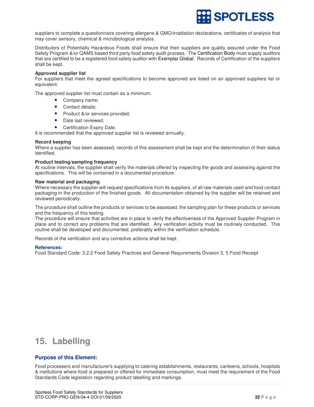

suppliers to complete a questionnaire covering allergens & GMO/irradiation declarations, certificates of analysis that may cover sensory, chemical & microbiological analysis.

Distributors of Potentially Hazardous Foods shall ensure that their suppliers are quality assured under the Food Safety Program &/or QAMS based third party food safety audit process. The Certification Body must supply auditors that are certified to be a registered food safety auditor with Exemplar Global. Records of Certification of the suppliers shall be kept.

### **Approved supplier list**

For suppliers that meet the agreed specifications to become approved are listed on an approved suppliers list or equivalent.

The approved supplier list must contain as a minimum:

- Company name;
- Contact details;
- Product &/or services provided;
- Date last reviewed;
- Certification Expiry Date.

It is recommended that the approved supplier list is reviewed annually.

### **Record keeping**

Where a supplier has been assessed, records of this assessment shall be kept and the determination of their status identified.

### **Product testing/sampling frequency**

At routine intervals, the supplier shall verify the materials offered by inspecting the goods and assessing against the specifications. This will be contained in a documented procedure.

### **Raw material and packaging**

Where necessary the supplier will request specifications from its suppliers, of all raw materials used and food contact packaging in the production of the finished goods. All documentation obtained by the supplier will be retained and reviewed periodically.

The procedure shall outline the products or services to be assessed, the sampling plan for these products or services and the frequency of this testing.

The procedure will ensure that activities are in place to verify the effectiveness of the Approved Supplier Program in place and to correct any problems that are identified. Any verification activity must be routinely conducted. This routine shall be developed and documented, preferably within the verification schedule.

Records of the verification and any corrective actions shall be kept.

#### **References:**

Food Standard Code: 3.2.2 Food Safety Practices and General Requirements Division 3, 5 Food Receipt

# **15. Labelling**

# **Purpose of this Element:**

Food processers and manufacturer's supplying to catering establishments, restaurants, canteens, schools, hospitals & institutions where food is prepared or offered for immediate consumption, must meet the requirement of the Food Standards Code legislation regarding product labelling and markings.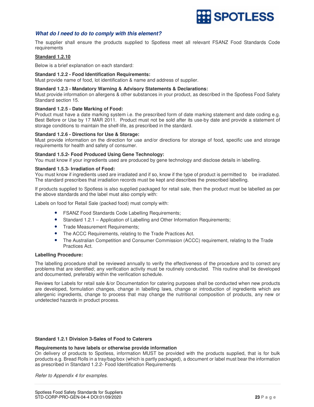

# **What do I need to do to comply with this element?**

The supplier shall ensure the products supplied to Spotless meet all relevant FSANZ Food Standards Code requirements

# **Standard 1.2.10**

Below is a brief explanation on each standard:

#### **Standard 1.2.2 - Food Identification Requirements:**

Must provide name of food, lot identification & name and address of supplier.

#### **Standard 1.2.3 - Mandatory Warning & Advisory Statements & Declarations:**

Must provide information on allergens & other substances in your product, as described in the Spotless Food Safety Standard section 15.

### **Standard 1.2.5 - Date Marking of Food:**

Product must have a date marking system i.e. the prescribed form of date marking statement and date coding e.g. Best Before or Use by 17 MAR 2011. Product must not be sold after its use-by date and provide a statement of storage conditions to maintain the shelf-life, as prescribed in the standard.

#### **Standard 1.2.6 - Directions for Use & Storage:**

Must provide information on the direction for use and/or directions for storage of food, specific use and storage requirements for health and safety of consumer.

### **Standard 1.5.2- Food Produced Using Gene Technology:**

You must know if your ingredients used are produced by gene technology and disclose details in labelling.

# **Standard 1.5.3- Irradiation of Food:**

You must know if ingredients used are irradiated and if so, know if the type of product is permitted to be irradiated. The standard prescribes that irradiation records must be kept and describes the prescribed labelling.

If products supplied to Spotless is also supplied packaged for retail sale, then the product must be labelled as per the above standards and the label must also comply with:

Labels on food for Retail Sale (packed food) must comply with:

- FSANZ Food Standards Code Labelling Requirements;
- Standard 1.2.1 Application of Labelling and Other Information Requirements;
- Trade Measurement Requirements;
- The ACCC Requirements, relating to the Trade Practices Act.
- The Australian Competition and Consumer Commission (ACCC) requirement, relating to the Trade Practices Act.

#### **Labelling Procedure:**

The labelling procedure shall be reviewed annually to verify the effectiveness of the procedure and to correct any problems that are identified; any verification activity must be routinely conducted. This routine shall be developed and documented, preferably within the verification schedule.

Reviews for Labels for retail sale &/or Documentation for catering purposes shall be conducted when new products are developed, formulation changes, change in labelling laws, change or introduction of ingredients which are allergenic ingredients, change to process that may change the nutritional composition of products, any new or undetected hazards in product process.

# **Standard 1.2.1 Division 3-Sales of Food to Caterers**

### **Requirements to have labels or otherwise provide information**

On delivery of products to Spotless, information MUST be provided with the products supplied, that is for bulk products e.g. Bread Rolls in a tray/bag/box (which is partly packaged), a document or label must bear the information as prescribed in Standard 1.2.2- Food Identification Requirements

Refer to Appendix 4 for examples.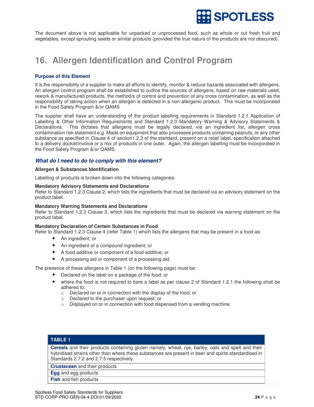

The document above is not applicable for unpacked or unprocessed food, such as whole or cut fresh fruit and vegetables, except sprouting seeds or similar products (provided the true nature of the products are not obscured).

# **16. Allergen Identification and Control Program**

# **Purpose of this Element**

It is the responsibility of a supplier to make all efforts to identify, monitor & reduce hazards associated with allergens. An allergen control program shall be established to outline the sources of allergens, based on raw materials used, rework & manufactured products, the method/s of control and prevention of any cross contamination, as well as the responsibility of taking action when an allergen is detected in a non-allergenic product. This must be incorporated in the Food Safety Program &/or QAMS

The supplier shall have an understanding of the product labelling requirements in Standard 1.2.1 Application of Labelling & Other Information Requirements and Standard 1.2.3 Mandatory Warning & Advisory Statements & Declarations. This dictates that allergens must be legally declared, via an ingredient list, allergen cross contamination risk statement e.g. Made on equipment that also processes products containing peanuts, or any other substance as specified in Clause 4 of section1.2.3 of the standard, present on a retail label, specification attached to a delivery docket/invoice or a mix of products in one outer. Again, the allergen labelling must be incorporated in the Food Safety Program &/or QAMS.

# **What do I need to do to comply with this element?**

### **Allergen & Substances Identification**

Labelling of products is broken down into the following categories:

### **Mandatory Advisory Statements and Declarations**

Refer to Standard 1.2.3 Clause 2, which lists the ingredients that must be declared via an advisory statement on the product label.

# **Mandatory Warning Statements and Declarations**

Refer to Standard 1.2.3 Clause 3, which lists the ingredients that must be declared via warning statement on the product label.

# **Mandatory Declaration of Certain Substances in Food**

Refer to Standard 1.2.3 Clause 4 (refer Table 1) which lists the allergens that may be present in a food as:

- An ingredient; or
- An ingredient of a compound ingredient; or
- A food additive or component of a food additive; or
- A processing aid or component of a processing aid.

The presence of these allergens in Table 1 (on the following page) must be:

- Declared on the label on a package of the food; or
- where the food is not required to bare a label as per clause 2 of Standard 1.2.1 the following shall be adhered to:
	- o Declared on or in connection with the display of the food; or
	- o Declared to the purchaser upon request; or
	- $\circ$  Displayed on or in connection with food dispensed from a vending machine.

# **TABLE 1**

**Cereals** and their products containing gluten namely, wheat, rye, barley, oats and spelt and their hybridised strains other than where these substances are present in beer and spirits standardised in Standards 2.7.2 and 2.7.5 respectively.

**Crustacean** and their products

**Egg** and egg products

**Fish** and fish products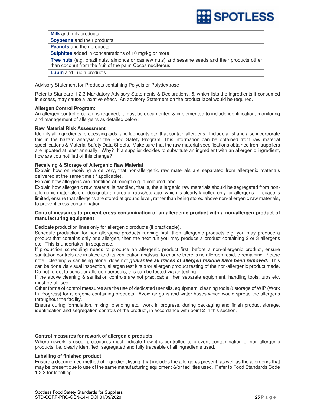

**Milk** and milk products **Soybeans** and their products **Peanuts** and their products **Sulphites** added in concentrations of 10 mg/kg or more **Tree nuts** (e.g. brazil nuts, almonds or cashew nuts) and sesame seeds and their products other than coconut from the fruit of the palm Cocos nuciferous **Lupin** and Lupin products

Advisory Statement for Products containing Polyols or Polydextrose

Refer to Standard 1.2.3 Mandatory Advisory Statements & Declarations, 5, which lists the ingredients if consumed in excess, may cause a laxative effect. An advisory Statement on the product label would be required.

# **Allergen Control Program:**

An allergen control program is required; it must be documented & implemented to include identification, monitoring and management of allergens as detailed below:

# **Raw Material Risk Assessment**

Identify all ingredients, processing aids, and lubricants etc. that contain allergens. Include a list and also incorporate this in the hazard analysis of the Food Safety Program. This information can be obtained from raw material specifications & Material Safety Data Sheets. Make sure that the raw material specifications obtained from suppliers are updated at least annually. Why? If a supplier decides to substitute an ingredient with an allergenic ingredient, how are you notified of this change?

# **Receiving & Storage of Allergenic Raw Material**

Explain how on receiving a delivery, that non-allergenic raw materials are separated from allergenic materials delivered at the same time (if applicable).

Explain how allergens are identified at receipt e.g. a coloured label.

Explain how allergenic raw material is handled, that is, the allergenic raw materials should be segregated from nonallergenic materials e.g. designate an area of racks/storage, which is clearly labelled only for allergens. If space is limited, ensure that allergens are stored at ground level, rather than being stored above non-allergenic raw materials, to prevent cross contamination.

# **Control measures to prevent cross contamination of an allergenic product with a non-allergen product of manufacturing equipment**

Dedicate production lines only for allergenic products (if practicable).

Schedule production for non-allergenic products running first, then allergenic products e.g. you may produce a product that contains only one allergen, then the next run you may produce a product containing 2 or 3 allergens etc. This is undertaken in sequence.

If production scheduling needs to produce an allergenic product first, before a non-allergenic product, ensure sanitation controls are in place and its verification analysis, to ensure there is no allergen residue remaining. Please note: cleaning & sanitising alone, does not **guarantee all traces of allergen residue have been removed.** This can be done via visual inspection, allergen test kits &/or allergen product testing of the non-allergenic product made. Do not forget to consider allergen aerosols; this can be tested via air testing.

If the above cleaning & sanitation controls are not practicable, then separate equipment, handling tools, tubs etc. must be utilised.

Other forms of control measures are the use of dedicated utensils, equipment, cleaning tools & storage of WIP (Work In Progress) for allergenic containing products. Avoid air guns and water hoses which would spread the allergens throughout the facility.

Ensure during formulation, mixing, blending etc., work in progress, during packaging and finish product storage, identification and segregation controls of the product, in accordance with point 2 in this section.

# **Control measures for rework of allergenic products**

Where rework is used, procedures must indicate how it is controlled to prevent contamination of non-allergenic products, i.e. clearly identified, segregated and fully traceable of all ingredients used.

# **Labelling of finished product**

Ensure a documented method of ingredient listing, that includes the allergen/s present, as well as the allergen/s that may be present due to use of the same manufacturing equipment &/or facilities used. Refer to Food Standards Code 1.2.3 for labelling.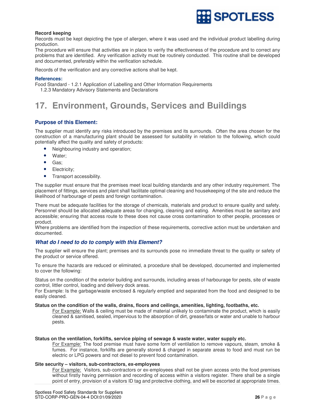

# **Record keeping**

Records must be kept depicting the type of allergen, where it was used and the individual product labelling during production.

The procedure will ensure that activities are in place to verify the effectiveness of the procedure and to correct any problems that are identified. Any verification activity must be routinely conducted. This routine shall be developed and documented, preferably within the verification schedule.

Records of the verification and any corrective actions shall be kept.

### **References:**

Food Standard - 1.2.1 Application of Labelling and Other Information Requirements

1.2.3 Mandatory Advisory Statements and Declarations

# **17. Environment, Grounds, Services and Buildings**

# **Purpose of this Element:**

The supplier must identify any risks introduced by the premises and its surrounds. Often the area chosen for the construction of a manufacturing plant should be assessed for suitability in relation to the following, which could potentially affect the quality and safety of products:

- Neighbouring industry and operation;
- Water;
- Gas;
- Electricity;
- Transport accessibility.

The supplier must ensure that the premises meet local building standards and any other industry requirement. The placement of fittings, services and plant shall facilitate optimal cleaning and housekeeping of the site and reduce the likelihood of harbourage of pests and foreign contamination.

There must be adequate facilities for the storage of chemicals, materials and product to ensure quality and safety. Personnel should be allocated adequate areas for changing, cleaning and eating. Amenities must be sanitary and accessible; ensuring that access route to these does not cause cross contamination to other people, processes or product.

Where problems are identified from the inspection of these requirements, corrective action must be undertaken and documented.

# **What do I need to do to comply with this Element?**

The supplier will ensure the plant; premises and its surrounds pose no immediate threat to the quality or safety of the product or service offered.

To ensure the hazards are reduced or eliminated, a procedure shall be developed, documented and implemented to cover the following:

Status on the condition of the exterior building and surrounds, including areas of harbourage for pests, site of waste control, littler control, loading and delivery dock areas.

For Example: Is the garbage/waste enclosed & regularly emptied and separated from the food and designed to be easily cleaned.

# **Status on the condition of the walls, drains, floors and ceilings, amenities, lighting, footbaths, etc.**

For Example: Walls & ceiling must be made of material unlikely to contaminate the product, which is easily cleaned & sanitised, sealed, impervious to the absorption of dirt, grease/fats or water and unable to harbour pests.

# **Status on the ventilation, forklifts, service piping of sewage & waste water, water supply etc.**

For Example: The food premise must have some form of ventilation to remove vapours, steam, smoke & fumes. For instance, forklifts are generally stored & charged in separate areas to food and must run be electric or LPG powers and not diesel to prevent food contamination.

# **Site security – visitors, sub-contractors, ex-employees**

For Example: Visitors, sub-contractors or ex-employees shall not be given access onto the food premises without firstly having permission and recording of access within a visitors register. There shall be a single point of entry, provision of a visitors ID tag and protective clothing, and will be escorted at appropriate times.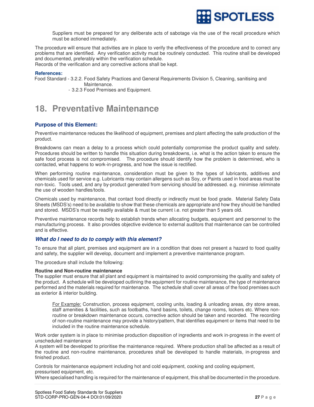

Suppliers must be prepared for any deliberate acts of sabotage via the use of the recall procedure which must be actioned immediately.

The procedure will ensure that activities are in place to verify the effectiveness of the procedure and to correct any problems that are identified. Any verification activity must be routinely conducted. This routine shall be developed and documented, preferably within the verification schedule.

Records of the verification and any corrective actions shall be kept.

# **References:**

Food Standard - 3.2.2. Food Safety Practices and General Requirements Division 5, Cleaning, sanitising and Maintenance.

- 3.2.3 Food Premises and Equipment.

# **18. Preventative Maintenance**

# **Purpose of this Element:**

Preventive maintenance reduces the likelihood of equipment, premises and plant affecting the safe production of the product.

Breakdowns can mean a delay to a process which could potentially compromise the product quality and safety. Procedures should be written to handle this situation during breakdowns, i.e. what is the action taken to ensure the safe food process is not compromised. The procedure should identify how the problem is determined, who is contacted, what happens to work-in-progress, and how the issue is rectified.

When performing routine maintenance, consideration must be given to the types of lubricants, additives and chemicals used for service e.g. Lubricants may contain allergens such as Soy, or Paints used in food areas must be non-toxic. Tools used, and any by-product generated from servicing should be addressed. e.g. minimise /eliminate the use of wooden handles/tools.

Chemicals used by maintenance, that contact food directly or indirectly must be food grade. Material Safety Data Sheets (MSDS's) need to be available to show that these chemicals are appropriate and how they should be handled and stored. MSDS's must be readily available & must be current i.e. not greater than 5 years old.

Preventive maintenance records help to establish trends when allocating budgets, equipment and personnel to the manufacturing process. It also provides objective evidence to external auditors that maintenance can be controlled and is effective.

# **What do I need to do to comply with this element?**

To ensure that all plant, premises and equipment are in a condition that does not present a hazard to food quality and safety, the supplier will develop, document and implement a preventive maintenance program.

The procedure shall include the following:

# **Routine and Non-routine maintenance**

The supplier must ensure that all plant and equipment is maintained to avoid compromising the quality and safety of the product. A schedule will be developed outlining the equipment for routine maintenance, the type of maintenance performed and the materials required for maintenance. The schedule shall cover all areas of the food premises such as exterior & interior building.

For Example: Construction, process equipment, cooling units, loading & unloading areas, dry store areas, staff amenities & facilities, such as footbaths, hand basins, toilets, change rooms, lockers etc. Where nonroutine or breakdown maintenance occurs, corrective action should be taken and recorded. The recording of non-routine maintenance may provide a history/pattern, that identifies equipment or items that need to be included in the routine maintenance schedule.

Work order system is in place to minimise production disposition of ingredients and work in-progress in the event of unscheduled maintenance

A system will be developed to prioritise the maintenance required. Where production shall be affected as a result of the routine and non-routine maintenance, procedures shall be developed to handle materials, in-progress and finished product.

Controls for maintenance equipment including hot and cold equipment, cooking and cooling equipment, pressurised equipment, etc.

Where specialised handling is required for the maintenance of equipment, this shall be documented in the procedure.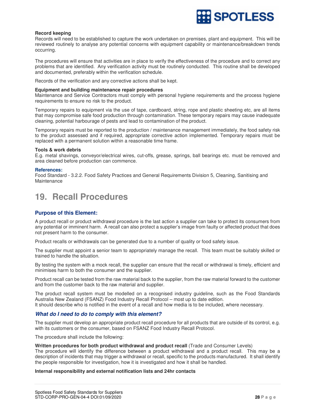

# **Record keeping**

Records will need to be established to capture the work undertaken on premises, plant and equipment. This will be reviewed routinely to analyse any potential concerns with equipment capability or maintenance/breakdown trends occurring.

The procedures will ensure that activities are in place to verify the effectiveness of the procedure and to correct any problems that are identified. Any verification activity must be routinely conducted. This routine shall be developed and documented, preferably within the verification schedule.

Records of the verification and any corrective actions shall be kept.

### **Equipment and building maintenance repair procedures**

Maintenance and Service Contractors must comply with personal hygiene requirements and the process hygiene requirements to ensure no risk to the product.

Temporary repairs to equipment via the use of tape, cardboard, string, rope and plastic sheeting etc, are all items that may compromise safe food production through contamination. These temporary repairs may cause inadequate cleaning, potential harbourage of pests and lead to contamination of the product.

Temporary repairs must be reported to the production / maintenance management immediately, the food safety risk to the product assessed and if required, appropriate corrective action implemented. Temporary repairs must be replaced with a permanent solution within a reasonable time frame.

### **Tools & work debris**

E.g. metal shavings, conveyor/electrical wires, cut-offs, grease, springs, ball bearings etc. must be removed and area cleaned before production can commence.

### **References:**

Food Standard - 3.2.2. Food Safety Practices and General Requirements Division 5, Cleaning, Sanitising and Maintenance

# **19. Recall Procedures**

# **Purpose of this Element:**

A product recall or product withdrawal procedure is the last action a supplier can take to protect its consumers from any potential or imminent harm. A recall can also protect a supplier's image from faulty or affected product that does not present harm to the consumer.

Product recalls or withdrawals can be generated due to a number of quality or food safety issue.

The supplier must appoint a senior team to appropriately manage the recall. This team must be suitably skilled or trained to handle the situation.

By testing the system with a mock recall, the supplier can ensure that the recall or withdrawal is timely, efficient and minimises harm to both the consumer and the supplier.

Product recall can be tested from the raw material back to the supplier, from the raw material forward to the customer and from the customer back to the raw material and supplier.

The product recall system must be modelled on a recognised industry guideline, such as the Food Standards Australia New Zealand (FSANZ) Food Industry Recall Protocol – most up to date edition. It should describe who is notified in the event of a recall and how media is to be included, where necessary.

# **What do I need to do to comply with this element?**

The supplier must develop an appropriate product recall procedure for all products that are outside of its control, e.g. with its customers or the consumer, based on FSANZ Food Industry Recall Protocol.

The procedure shall include the following:

# **Written procedures for both product withdrawal and product recall** (Trade and Consumer Levels)

The procedure will identify the difference between a product withdrawal and a product recall. This may be a description of incidents that may trigger a withdrawal or recall, specific to the products manufactured. It shall identify the people responsible for investigation, how it is investigated and how it shall be handled.

# **Internal responsibility and external notification lists and 24hr contacts**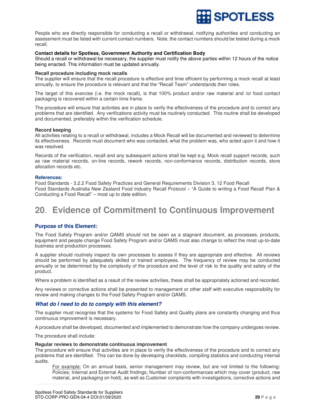

People who are directly responsible for conducting a recall or withdrawal, notifying authorities and conducting an assessment must be listed with current contact numbers. Note, the contact numbers should be tested during a mock recall.

# **Contact details for Spotless, Government Authority and Certification Body**

Should a recall or withdrawal be necessary, the supplier must notify the above parties within 12 hours of the notice being enacted. This information must be updated annually.

#### **Recall procedure including mock recalls**

The supplier will ensure that the recall procedure is effective and time efficient by performing a mock recall at least annually, to ensure the procedure is relevant and that the "Recall Team" understands their roles.

The target of this exercise (i.e. the mock recall), is that 100% product and/or raw material and /or food contact packaging is recovered within a certain time frame.

The procedure will ensure that activities are in place to verify the effectiveness of the procedure and to correct any problems that are identified. Any verifications activity must be routinely conducted. This routine shall be developed and documented, preferably within the verification schedule.

### **Record keeping**

All activities relating to a recall or withdrawal, includes a Mock Recall will be documented and reviewed to determine its effectiveness. Records must document who was contacted, what the problem was, who acted upon it and how it was resolved.

Records of the verification, recall and any subsequent actions shall be kept e.g. Mock recall support records, such as raw material records, on-line records, rework records, non-conformance records, distribution records, store allocation records etc.

### **References:**

Food Standards - 3.2.2 Food Safety Practices and General Requirements Division 3, 12 Food Recall Food Standards Australia New Zealand Food Industry Recall Protocol – "A Guide to writing a Food Recall Plan & Conducting a Food Recall" – most up to date edition.

# **20**. **Evidence of Commitment to Continuous Improvement**

# **Purpose of this Element:**

The Food Safety Program and/or QAMS should not be seen as a stagnant document, as processes, products, equipment and people change Food Safety Program and/or QAMS must also change to reflect the most up-to-date business and production processes.

A supplier should routinely inspect its own processes to assess if they are appropriate and effective. All reviews should be performed by adequately skilled or trained employees. The frequency of review may be conducted annually or be determined by the complexity of the procedure and the level of risk to the quality and safety of the product.

Where a problem is identified as a result of the review activities, these shall be appropriately actioned and recorded.

Any reviews or corrective actions shall be presented to management or other staff with executive responsibility for review and making changes to the Food Safety Program and/or QAMS.

# **What do I need to do to comply with this element?**

The supplier must recognise that the systems for Food Safety and Quality plans are constantly changing and thus continuous improvement is necessary.

A procedure shall be developed, documented and implemented to demonstrate how the company undergoes review.

The procedure shall include:

# **Regular reviews to demonstrate continuous improvement**

The procedure will ensure that activities are in place to verify the effectiveness of the procedure and to correct any problems that are identified. This can be done by developing checklists, compiling statistics and conducting internal audits.

For example: On an annual basis, senior management may review, but are not limited to the following: Policies; Internal and External Audit findings; Number of non-conformances which may cover (product, raw material, and packaging on hold), as well as Customer complaints with investigations, corrective actions and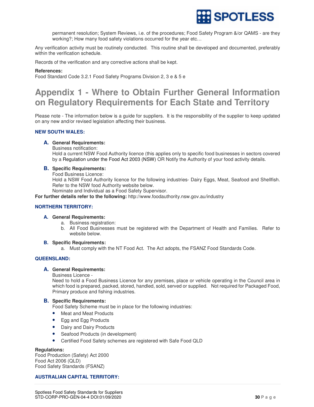

permanent resolution; System Reviews, i.e. of the procedures; Food Safety Program &/or QAMS - are they working?; How many food safety violations occurred for the year etc…

Any verification activity must be routinely conducted. This routine shall be developed and documented, preferably within the verification schedule.

Records of the verification and any corrective actions shall be kept.

### **References:**

Food Standard Code 3.2.1 Food Safety Programs Division 2, 3 e & 5 e

# **Appendix 1 - Where to Obtain Further General Information on Regulatory Requirements for Each State and Territory**

Please note - The information below is a guide for suppliers. It is the responsibility of the supplier to keep updated on any new and/or revised legislation affecting their business.

# **NEW SOUTH WALES:**

### **A. General Requirements:**

Business notification:

Hold a current NSW Food Authority licence (this applies only to specific food businesses in sectors covered by a Regulation under the Food Act 2003 (NSW) OR Notify the Authority of your food activity details.

### **B. Specific Requirements:**

Food Business Licence:

Hold a NSW Food Authority licence for the following industries- Dairy Eggs, Meat, Seafood and Shellfish. Refer to the NSW food Authority website below.

Nominate and Individual as a Food Safety Supervisor.

**For further details refer to the following:** http://www.foodauthority.nsw.gov.au/industry

# **NORTHERN TERRITORY:**

#### **A. General Requirements:**

- a. Business registration:
- b. All Food Businesses must be registered with the Department of Health and Families. Refer to website below.

# **B. Specific Requirements:**

a. Must comply with the NT Food Act. The Act adopts, the FSANZ Food Standards Code.

# **QUEENSLAND:**

# **A. General Requirements:**

Business Licence -

Need to hold a Food Business Licence for any premises, place or vehicle operating in the Council area in which food is prepared, packed, stored, handled, sold, served or supplied. Not required for Packaged Food, Primary produce and fishing industries.

# **B. Specific Requirements:**

Food Safety Scheme must be in place for the following industries:

- Meat and Meat Products
- Egg and Egg Products
- Dairy and Dairy Products
- Seafood Products (in development)
- Certified Food Safety schemes are registered with Safe Food QLD

#### **Regulations:**

Food Production (Safety) Act 2000 Food Act 2006 (QLD) Food Safety Standards (FSANZ)

# **AUSTRALIAN CAPITAL TERRITORY:**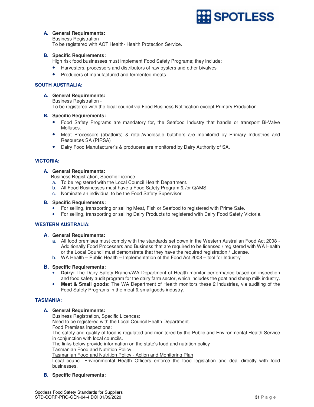

# **A. General Requirements:**

Business Registration -

To be registered with ACT Health- Health Protection Service.

# **B. Specific Requirements:**

High risk food businesses must implement Food Safety Programs; they include:

- Harvesters, processors and distributors of raw oysters and other bivalves
- Producers of manufactured and fermented meats

# **SOUTH AUSTRALIA:**

# **A. General Requirements:**

Business Registration - To be registered with the local council via Food Business Notification except Primary Production.

# **B. Specific Requirements:**

- Food Safety Programs are mandatory for, the Seafood Industry that handle or transport Bi-Valve Molluscs.
- Meat Processors (abattoirs) & retail/wholesale butchers are monitored by Primary Industries and Resources SA (PIRSA)
- Dairy Food Manufacturer's & producers are monitored by Dairy Authority of SA.

# **VICTORIA:**

# **A. General Requirements:**

Business Registration, Specific Licence -

- a. To be registered with the Local Council Health Department.
- b. All Food Businesses must have a Food Safety Program & /or QAMS
- c. Nominate an individual to be the Food Safety Supervisor

# **B. Specific Requirements:**

- For selling, transporting or selling Meat, Fish or Seafood to registered with Prime Safe.
- For selling, transporting or selling Dairy Products to registered with Dairy Food Safety Victoria.

# **WESTERN AUSTRALIA:**

# **A. General Requirements:**

- a. All food premises must comply with the standards set down in the Western Australian Food Act 2008 Additionally Food Processers and Business that are required to be licensed / registered with WA Health or the Local Council must demonstrate that they have the required registration / License.
- b. WA Health Public Health Implementation of the Food Act 2008 tool for Industry

# **B. Specific Requirements:**

- **Dairy:** The Dairy Safety Branch/WA Department of Health monitor performance based on inspection and food safety audit program for the dairy farm sector, which includes the goat and sheep milk industry.
- **Meat & Small goods:** The WA Department of Health monitors these 2 industries, via auditing of the Food Safety Programs in the meat & smallgoods industry.

# **TASMANIA:**

# **A. General Requirements:**

Business Registration, Specific Licences:

Need to be registered with the Local Council Health Department.

Food Premises Inspections:

The safety and quality of food is regulated and monitored by the Public and Environmental Health Service in conjunction with local councils.

The links below provide information on the state's food and nutrition policy

# Tasmanian Food and Nutrition Policy

Tasmanian Food and Nutrition Policy - Action and Monitoring Plan

Local council Environmental Health Officers enforce the food legislation and deal directly with food businesses.

# **B. Specific Requirements:**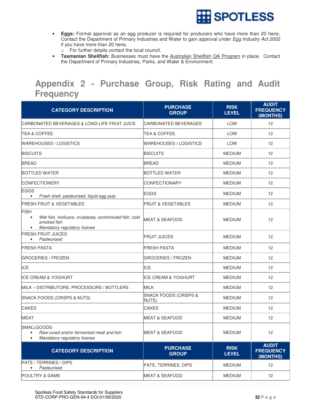

- **Eggs:** Formal approval as an egg producer is required for producers who have more than 20 hens. Contact the Department of Primary Industries and Water to gain approval under Egg Industry Act 2002 if you have more than 20 hens.
	- o For further details contact the local council.
- **Tasmanian Shellfish:** Businesses must have the Australian Shellfish QA Program in place. Contact the Department of Primary Industries, Parks, and Water & Environment.

# **Appendix 2 - Purchase Group, Risk Rating and Audit Frequency**

| <b>CATEGORY DESCRIPTION</b>                                                                                                                  | <b>PURCHASE</b><br><b>GROUP</b>           | <b>RISK</b><br><b>LEVEL</b> | <b>AUDIT</b><br><b>FREQUENCY</b><br>(MONTHS) |
|----------------------------------------------------------------------------------------------------------------------------------------------|-------------------------------------------|-----------------------------|----------------------------------------------|
| CARBONATED BEVERAGES & LONG-LIFE FRUIT JUICE                                                                                                 | <b>CARBONATED BEVERAGES</b>               | <b>LOW</b>                  | 12                                           |
| <b>TEA &amp; COFFEE.</b>                                                                                                                     | TEA & COFFEE.                             | <b>LOW</b>                  | 12                                           |
| WAREHOUSES / LOGISTICS                                                                                                                       | WAREHOUSES / LOGISTICS                    | LOW                         | 12                                           |
| <b>BISCUITS</b>                                                                                                                              | <b>BISCUITS</b>                           | <b>MEDIUM</b>               | 12                                           |
| <b>BREAD</b>                                                                                                                                 | <b>BREAD</b>                              | <b>MEDIUM</b>               | $12 \overline{ }$                            |
| BOTTLED WATER                                                                                                                                | BOTTLED WATER                             | <b>MEDIUM</b>               | $12 \overline{ }$                            |
| <b>CONFECTIONERY</b>                                                                                                                         | <b>CONFECTIONARY</b>                      | <b>MEDIUM</b>               | 12                                           |
| <b>EGGS</b><br>Fresh shell, pasteurised, liquid egg pulp<br>$\bullet$                                                                        | <b>EGGS</b>                               | <b>MEDIUM</b>               | 12                                           |
| <b>FRESH FRUIT &amp; VEGETABLES</b>                                                                                                          | <b>FRUIT &amp; VEGETABLES</b>             | <b>MEDIUM</b>               | $12 \overline{ }$                            |
| <b>FISH</b><br>Wet fish, molluscs, crustacea, comminuted fish, cold<br>$\bullet$<br>smoked fish<br>Mandatory regulatory license<br>$\bullet$ | <b>MEAT &amp; SEAFOOD</b>                 | <b>MEDIUM</b>               | 12                                           |
| <b>FRESH FRUIT JUICES</b><br>Pasteurised<br>$\bullet$                                                                                        | <b>FRUIT JUICES</b>                       | <b>MEDIUM</b>               | 12                                           |
| <b>FRESH PASTA</b>                                                                                                                           | FRESH PASTA                               | <b>MEDIUM</b>               | 12                                           |
| <b>GROCERIES / FROZEN</b>                                                                                                                    | <b>GROCERIES / FROZEN</b>                 | <b>MEDIUM</b>               | $12 \overline{ }$                            |
| ICE                                                                                                                                          | ICE                                       | <b>MEDIUM</b>               | 12                                           |
| <b>IICE CREAM &amp; YOGHURT</b>                                                                                                              | <b>IICE CREAM &amp; YOGHURT</b>           | <b>MEDIUM</b>               | 12                                           |
| MILK - DISTRIBUTORS, PROCESSORS / BOTTLERS                                                                                                   | MILK                                      | <b>MEDIUM</b>               | 12                                           |
| SNACK FOODS (CRISPS & NUTS)                                                                                                                  | <b>SNACK FOODS (CRISPS &amp;</b><br>NUTS) | <b>MEDIUM</b>               | $12 \overline{ }$                            |
| <b>CAKES</b>                                                                                                                                 | <b>CAKES</b>                              | <b>MEDIUM</b>               | 12                                           |
| <b>MEAT</b>                                                                                                                                  | <b>MEAT &amp; SEAFOOD</b>                 | <b>MEDIUM</b>               | 12                                           |
| <b>SMALLGOODS</b><br>Raw cured and/or fermented meat and fish<br>$\bullet$<br>Mandatory regulatory license<br>$\bullet$                      | <b>MEAT &amp; SEAFOOD</b>                 | <b>MEDIUM</b>               | 12                                           |
| <b>CATEGORY DESCRIPTION</b>                                                                                                                  | <b>PURCHASE</b><br><b>GROUP</b>           | <b>RISK</b><br><b>LEVEL</b> | <b>AUDIT</b><br><b>FREQUENCY</b><br>(MONTHS) |
| PATE / TERRINES / DIPS<br>Pasteurised                                                                                                        | PATE, TERRINES, DIPS                      | <b>MEDIUM</b>               | 12                                           |
| POULTRY & GAME                                                                                                                               | <b>MEAT &amp; SEAFOOD</b>                 | <b>MEDIUM</b>               | 12                                           |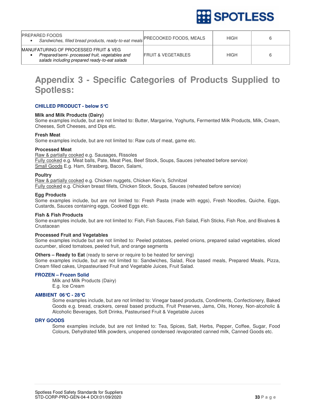

| <b>PREPARED FOODS</b><br>Sandwiches, filled bread products, ready-to-eat meals                                                                       | <b>PRECOOKED FOODS, MEALS</b> | <b>HIGH</b> |  |
|------------------------------------------------------------------------------------------------------------------------------------------------------|-------------------------------|-------------|--|
| <b>MANUFATURING OF PROCESSED FRUIT &amp; VEG.</b><br>Prepared/semi- processed fruit, vegetables and<br>salads including prepared ready-to-eat salads | <b>FRUIT &amp; VEGETABLES</b> | <b>HIGH</b> |  |

# **Appendix 3 - Specific Categories of Products Supplied to Spotless:**

# **CHILLED PRODUCT - below 5°C**

# **Milk and Milk Products (Dairy)**

Some examples include, but are not limited to: Butter, Margarine, Yoghurts, Fermented Milk Products, Milk, Cream, Cheeses, Soft Cheeses, and Dips etc.

# **Fresh Meat**

Some examples include, but are not limited to: Raw cuts of meat, game etc.

# **Processed Meat**

Raw & partially cooked e.g. Sausages, Rissoles Fully cooked e.g. Meat balls, Pate, Meat Pies, Beef Stock, Soups, Sauces (reheated before service) Small Goods E.g. Ham, Strasberg, Bacon, Salami,

# **Poultry**

Raw & partially cooked e.g. Chicken nuggets, Chicken Kiev's, Schnitzel Fully cooked e.g. Chicken breast fillets, Chicken Stock, Soups, Sauces (reheated before service)

# **Egg Products**

Some examples include, but are not limited to: Fresh Pasta (made with eggs), Fresh Noodles, Quiche, Eggs, Custards, Sauces containing eggs, Cooked Eggs etc.

# **Fish & Fish Products**

Some examples include, but are not limited to: Fish, Fish Sauces, Fish Salad, Fish Sticks, Fish Roe, and Bivalves & Crustacean

# **Processed Fruit and Vegetables**

Some examples include but are not limited to: Peeled potatoes, peeled onions, prepared salad vegetables, sliced cucumber, sliced tomatoes, peeled fruit, and orange segments

# **Others – Ready to Eat** (ready to serve or require to be heated for serving)

Some examples include, but are not limited to: Sandwiches, Salad, Rice based meals, Prepared Meals, Pizza, Cream filled cakes, Unpasteurised Fruit and Vegetable Juices, Fruit Salad.

# **FROZEN – Frozen Solid**

Milk and Milk Products (Dairy) E.g. Ice Cream

# **AMBIENT 06°C - 28°C**

Some examples include, but are not limited to: Vinegar based products, Condiments, Confectionery, Baked Goods e.g. bread, crackers, cereal based products, Fruit Preserves, Jams, Oils, Honey, Non-alcoholic & Alcoholic Beverages, Soft Drinks, Pasteurised Fruit & Vegetable Juices

# **DRY GOODS**

Some examples include, but are not limited to: Tea, Spices, Salt, Herbs, Pepper, Coffee, Sugar, Food Colours, Dehydrated Milk powders, unopened condensed /evaporated canned milk, Canned Goods etc.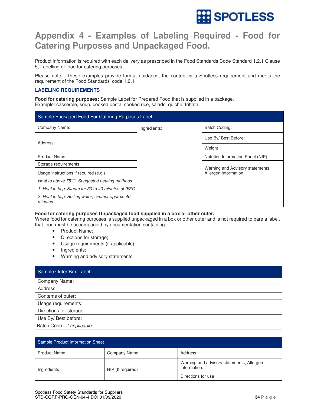

# **Appendix 4 - Examples of Labeling Required - Food for Catering Purposes and Unpackaged Food.**

Product information is required with each delivery as prescribed in the Food Standards Code Standard 1.2.1 Clause 5, Labelling of food for catering purposes

Please note: These examples provide format guidance; the content is a Spotless requirement and meets the requirement of the Food Standards' code 1.2.1

# **LABELING REQUIREMENTS**

**Food for catering purposes:** Sample Label for Prepared Food that is supplied in a package. Example: casserole, soup, cooked pasta, cooked rice, salads, quiche, frittata.

| Sample Packaged Food For Catering Purposes Label             |              |                                   |  |  |
|--------------------------------------------------------------|--------------|-----------------------------------|--|--|
| Company Name:                                                | Ingredients: | Batch Coding:                     |  |  |
| Address:                                                     |              | Use By/ Best Before:              |  |  |
|                                                              |              | Weight                            |  |  |
| Product Name:                                                |              | Nutrition Information Panel (NIP) |  |  |
| Storage requirements:                                        |              | Warning and Advisory statements,  |  |  |
| Usage instructions if required (e.g.)                        |              | Allergen Information              |  |  |
| Heat to above 75 <sup>o</sup> C. Suggested heating methods   |              |                                   |  |  |
| 1: Heat in bag: Steam for 30 to 40 minutes at $90^{\circ}$ C |              |                                   |  |  |
| 2: Heat in bag: Boiling water, simmer approx. 40<br>minutes  |              |                                   |  |  |

# **Food for catering purposes Unpackaged food supplied in a box or other outer.**

Where food for catering purposes is supplied unpackaged in a box or other outer and is not required to bare a label, that food must be accompanied by documentation containing:

- Product Name;
- Directions for storage;
- Usage requirements (if applicable);
- Ingredients;
- Warning and advisory statements.

| Sample Outer Box Label     |
|----------------------------|
| Company Name:              |
| Address:                   |
| Contents of outer:         |
| Usage requirements:        |
| Directions for storage:    |
| Use By/ Best before:       |
| Batch Code -if applicable: |

| Sample Product Information Sheet |                   |                                                           |  |  |
|----------------------------------|-------------------|-----------------------------------------------------------|--|--|
| <b>Product Name</b>              | Company Name:     | Address:                                                  |  |  |
| Ingredients:                     | NIP (If required) | Warning and advisory statements, Allergen<br>Information: |  |  |
|                                  |                   | Directions for use:                                       |  |  |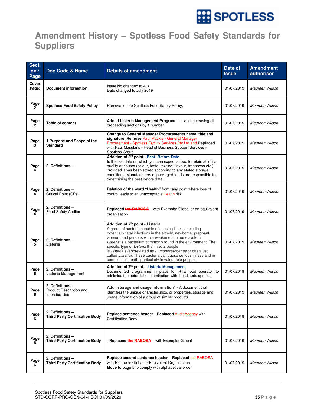

# **Amendment History – Spotless Food Safety Standards for Suppliers**

| <b>Secti</b><br>on/<br>Page | Doc Code & Name                                             | <b>Details of amendment</b>                                                                                                                                                                                                                                                                                                                                                                                                                                                                                                                      | <b>Date of</b><br><b>Issue</b> | <b>Amendment</b><br>authoriser |
|-----------------------------|-------------------------------------------------------------|--------------------------------------------------------------------------------------------------------------------------------------------------------------------------------------------------------------------------------------------------------------------------------------------------------------------------------------------------------------------------------------------------------------------------------------------------------------------------------------------------------------------------------------------------|--------------------------------|--------------------------------|
| Cover<br>Page:              | <b>Document information</b>                                 | Issue No changed to 4.3<br>Date changed to July 2019                                                                                                                                                                                                                                                                                                                                                                                                                                                                                             | 01/07/2019                     | Maureen Wilson                 |
| Page<br>$\overline{2}$      | <b>Spotless Food Safety Policy</b>                          | Removal of the Spotless Food Safety Policy.                                                                                                                                                                                                                                                                                                                                                                                                                                                                                                      | 01/07/2019                     | Maureen Wilson                 |
| Page<br>$\overline{2}$      | <b>Table of content</b>                                     | Added Listeria Management Program - 11 and increasing all<br>proceeding sections by 1 number.                                                                                                                                                                                                                                                                                                                                                                                                                                                    | 01/07/2019                     | Maureen Wilson                 |
| Page<br>3                   | 1. Purpose and Scope of the<br><b>Standard</b>              | Change to General Manager Procurements name, title and<br>signature. Remove Paul Mackie - General Manager<br>Procurement - Spotless Facility Services Pty Ltd and Replaced<br>with-Paul Masulans - Head of Business Support Services -<br>Spotless Group                                                                                                                                                                                                                                                                                         | 01/07/2019                     | Maureen Wilson                 |
| Page                        | 2. Definitions -                                            | Addition of 3rd point - Best- Before Date<br>Is the last date on which you can expect a food to retain all of its<br>quality attributes (colour, taste, texture, flavour, freshness etc.)<br>provided it has been stored according to any stated storage<br>conditions. Manufacturers of packaged foods are responsible for<br>determining the best before date.                                                                                                                                                                                 | 01/07/2019                     | Maureen Wilson                 |
| Page<br>4                   | 2. Definitions -<br>Critical Point (CPs)                    | Deletion of the word "Health" from: any point where loss of<br>control leads to an unacceptable Health risk.                                                                                                                                                                                                                                                                                                                                                                                                                                     | 01/07/2019                     | Maureen Wilson                 |
| Page<br>4                   | 2. Definitions -<br>Food Safety Auditor                     | Replaced the RABQSA - with Exemplar Global or an equivalent<br>organisation                                                                                                                                                                                                                                                                                                                                                                                                                                                                      | 01/07/2019                     | Maureen Wilson                 |
| Page<br>5                   | 2. Definitions -<br>Listeria                                | Addition of 7 <sup>th</sup> point - Listeria<br>A group of bacteria capable of causing illness including<br>potentially fatal infections in the elderly, newborns, pregnant<br>women, and persons with a weakened immune system.<br>Listeria is a bacterium commonly found in the environment. The<br>specific type of Listeria that infects people<br>is Listeria s (abbreviated as L. monocytogenes or often just<br>called Listeria). These bacteria can cause serious illness and in<br>some cases death, particularly in vulnerable people. | 01/07/2019                     | Maureen Wilson                 |
| Page<br>5                   | 2. Definitions -<br><b>Listeria Management</b>              | Addition of 7 <sup>th</sup> point - Listeria Management<br>Documented programme in place for RTE food operator to<br>minimise the potential contamination with the Listeria species.                                                                                                                                                                                                                                                                                                                                                             | 01/07/2019                     | Maureen Wilson                 |
| Page<br>5                   | 2. Definitions -<br>Product Description and<br>Intended Use | Add "storage and usage information" - A document that<br>identifies the unique characteristics, or properties, storage and<br>usage information of a group of similar products.                                                                                                                                                                                                                                                                                                                                                                  | 01/07/2019                     | Maureen Wilson                 |
| Page<br>6.                  | 2. Definitions -<br><b>Third Party Certification Body</b>   | Replace sentence header - Replaced Audit Agency with<br><b>Certification Body</b>                                                                                                                                                                                                                                                                                                                                                                                                                                                                | 01/07/2019                     | Maureen Wilson                 |
| Page<br>6                   | 2. Definitions -<br><b>Third Party Certification Body</b>   | - Replaced the RABQSA – with Exemplar Global                                                                                                                                                                                                                                                                                                                                                                                                                                                                                                     | 01/07/2019                     | Maureen Wilson                 |
| Page<br>6.                  | 2. Definitions -<br><b>Third Party Certification Body</b>   | Replace second sentence header - Replaced the RABQSA<br>with Exemplar Global or Equivalent Organisation<br>Move to page 5 to comply with alphabetical order.                                                                                                                                                                                                                                                                                                                                                                                     | 01/07/2019                     | Maureen Wilson                 |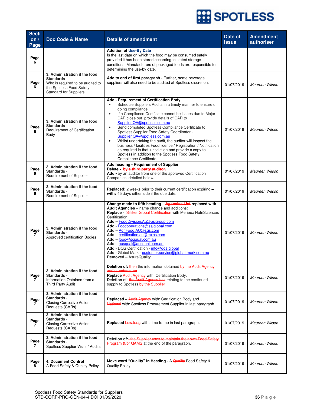| <b>Secti</b><br>on $/$<br>Page | Doc Code & Name                                                                                                                               | <b>Details of amendment</b>                                                                                                                                                                                                                                                                                                                                                                                                                                                                                                                                                                                                                                                                                                        | Date of<br><b>Issue</b> | <b>Amendment</b><br>authoriser |
|--------------------------------|-----------------------------------------------------------------------------------------------------------------------------------------------|------------------------------------------------------------------------------------------------------------------------------------------------------------------------------------------------------------------------------------------------------------------------------------------------------------------------------------------------------------------------------------------------------------------------------------------------------------------------------------------------------------------------------------------------------------------------------------------------------------------------------------------------------------------------------------------------------------------------------------|-------------------------|--------------------------------|
| Page<br>6                      |                                                                                                                                               | <b>Addition of Use-By Date</b><br>Is the last date on which the food may be consumed safely<br>provided it has been stored according to stated storage<br>conditions. Manufacturers of packaged foods are responsible for<br>determining the use-by date.                                                                                                                                                                                                                                                                                                                                                                                                                                                                          |                         |                                |
| Page<br>6                      | 3. Administration if the food<br>Standards -<br>Who is required to be audited to<br>the Spotless Food Safety<br><b>Standard for Suppliers</b> | Add to end of first paragraph - Further, some beverage<br>suppliers will also need to be audited at Spotless discretion.                                                                                                                                                                                                                                                                                                                                                                                                                                                                                                                                                                                                           | 01/07/2019              | Maureen Wilson                 |
| Page<br>6                      | 3. Administration if the food<br>Standards -<br>Requirement of Certification<br>Body                                                          | Add - Requirement of Certification Body<br>Schedule Suppliers Audits in a timely manner to ensure on<br>$\bullet$<br>going compliance<br>If a Compliance Certificate cannot be issues due to Major<br>$\bullet$<br>CAR close out, provide details of CAR to<br>Supplier.QA@spotless.com.au<br>Send completed Spotless Compliance Certificate to<br>$\bullet$<br>Spotless Supplier Food Safety Coordinator -<br>Supplier.QA@spotless.com.au<br>Whilst undertaking the audit, the auditor will inspect the<br>$\bullet$<br>business / facilities Food licence / Registration / Notification<br>as required in that jurisdiction and provide a copy to<br>Spotless in addition to the Spotless Food Safety<br>Compliance Certificate. | 01/07/2019              | Maureen Wilson                 |
| Page<br>6                      | 3. Administration if the food<br>Standards -<br>Requirement of Supplier                                                                       | Add heading - Requirement of Supplier<br>Delete by a third party auditor,<br>Add - by an auditor from one of the approved Certification<br>Companies, detailed below.                                                                                                                                                                                                                                                                                                                                                                                                                                                                                                                                                              | 01/07/2019              | Maureen Wilson                 |
| Page<br>6                      | 3. Administration if the food<br>Standards -<br>Requirement of Supplier                                                                       | Replaced: 2 weeks prior to their current certification expiring -<br>with: 45 days either side if the due date.                                                                                                                                                                                                                                                                                                                                                                                                                                                                                                                                                                                                                    | 01/07/2019              | Maureen Wilson                 |
| Page<br>7                      | 3. Administration if the food<br>Standards -<br>Approved certification Bodies                                                                 | Change made to fifth heading - Agencies List replaced with<br>Audit Agencies - name change and additions:<br>Replace - Silliker Global Certification with Merieux NutriSciences<br>Certification<br>Add - FoodDivision.Au@bsigroup.com<br>Add - Foodoperations@saiglobal.com<br>Add - AgriFood.AU@sgs.com<br>Add - certification.au@mxns.com<br>Add - food@sciqual.com.au<br>Add - ausqual@ausqual.com.au<br>Add - DQS Certification - info@dgs.global<br>Add - Global Mark - customer.service@global-mark.com.au<br>Removed_- AsureQuality                                                                                                                                                                                        | 01/07/2019              | Maureen Wilson                 |
| Page<br>$\mathbf{7}$           | 3. Administration if the food<br>Standards -<br>Information Obtained from a<br>Third Party Audit                                              | Deletion of: then the information obtained by the Audit Agency<br>whilst undertaken<br>Replace Audit Agency with: Certification Body.<br>Deletion of: the Audit Agency has relating to the continued<br>supply to Spotless by the Supplier                                                                                                                                                                                                                                                                                                                                                                                                                                                                                         | 01/07/2019              | Maureen Wilson                 |
| Page<br>7                      | 3. Administration if the food<br>Standards -<br><b>Closing Corrective Action</b><br>Requests (CARs)                                           | <b>Replaced - Audit Agency with: Certification Body and</b><br>National with: Spotless Procurement Supplier in last paragraph.                                                                                                                                                                                                                                                                                                                                                                                                                                                                                                                                                                                                     | 01/07/2019              | Maureen Wilson                 |
| Page                           | 3. Administration if the food<br>Standards -<br><b>Closing Corrective Action</b><br>Requests (CARs)                                           | <b>Replaced how long</b> with: time frame in last paragraph.                                                                                                                                                                                                                                                                                                                                                                                                                                                                                                                                                                                                                                                                       | 01/07/2019              | Maureen Wilson                 |
| Page<br>7                      | 3. Administration if the food<br>Standards -<br>Spotless Supplier Visits / Audits                                                             | Deletion of: the Supplier uses to maintain their own Food Safety<br>Program &/or QAMS at the end of the paragraph.                                                                                                                                                                                                                                                                                                                                                                                                                                                                                                                                                                                                                 | 01/07/2019              | Maureen Wilson                 |
| Page<br>8                      | 4. Document Control<br>A Food Safety & Quality Policy                                                                                         | Move word "Quality" in Heading - A Quality Food Safety &<br><b>Quality Policy</b>                                                                                                                                                                                                                                                                                                                                                                                                                                                                                                                                                                                                                                                  | 01/07/2019              | Maureen Wilson                 |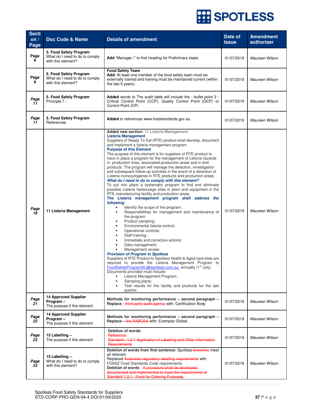| <b>Secti</b><br>on $/$<br>Page | Doc Code & Name                                                                | <b>Details of amendment</b>                                                                                                                                                                                                                                                                                                                                                                                                                                                                                                                                                                                                                                                                                                                                                                                                                                                                                                                                                                                                                                                                                                                                                                                                                                                                                                                                                                                                                                                                                                                                                                                                                                                                                                           | Date of<br><b>Issue</b> | <b>Amendment</b><br>authoriser |
|--------------------------------|--------------------------------------------------------------------------------|---------------------------------------------------------------------------------------------------------------------------------------------------------------------------------------------------------------------------------------------------------------------------------------------------------------------------------------------------------------------------------------------------------------------------------------------------------------------------------------------------------------------------------------------------------------------------------------------------------------------------------------------------------------------------------------------------------------------------------------------------------------------------------------------------------------------------------------------------------------------------------------------------------------------------------------------------------------------------------------------------------------------------------------------------------------------------------------------------------------------------------------------------------------------------------------------------------------------------------------------------------------------------------------------------------------------------------------------------------------------------------------------------------------------------------------------------------------------------------------------------------------------------------------------------------------------------------------------------------------------------------------------------------------------------------------------------------------------------------------|-------------------------|--------------------------------|
| Page<br>9                      | 5. Food Safety Program<br>What do I need to do to comply<br>with this element? | Add "Manager /" to first heading for Preliminary steps.                                                                                                                                                                                                                                                                                                                                                                                                                                                                                                                                                                                                                                                                                                                                                                                                                                                                                                                                                                                                                                                                                                                                                                                                                                                                                                                                                                                                                                                                                                                                                                                                                                                                               | 01/07/2019              | Maureen Wilson                 |
| Page<br>9                      | 5. Food Safety Program<br>What do I need to do to comply<br>with this element? | <b>Food Safety Team</b><br>Add: At least one member of the food safety team must be<br>externally trained and training must be maintained current (within<br>the last 5 years).                                                                                                                                                                                                                                                                                                                                                                                                                                                                                                                                                                                                                                                                                                                                                                                                                                                                                                                                                                                                                                                                                                                                                                                                                                                                                                                                                                                                                                                                                                                                                       | 01/07/2019              | Maureen Wilson                 |
| Page<br>11                     | 5. Food Safety Program<br>Principle 7 -                                        | Added words to The audit table will include the - bullet point 3 -<br>Critical Control Point (CCP), Quality Control Point (QCP) or<br>Control Point (CP)                                                                                                                                                                                                                                                                                                                                                                                                                                                                                                                                                                                                                                                                                                                                                                                                                                                                                                                                                                                                                                                                                                                                                                                                                                                                                                                                                                                                                                                                                                                                                                              | 01/07/2019              | Maureen Wilson                 |
| Page<br>11                     | 5. Food Safety Program<br>References                                           | Added to references www.foodstandards.gov.au                                                                                                                                                                                                                                                                                                                                                                                                                                                                                                                                                                                                                                                                                                                                                                                                                                                                                                                                                                                                                                                                                                                                                                                                                                                                                                                                                                                                                                                                                                                                                                                                                                                                                          | 01/07/2019              | Maureen Wilson                 |
| Page<br>18                     | 11 Listeria Management                                                         | Added new section: 11 Listeria Management<br><b>Listeria Management</b><br>Suppliers of Ready To Eat (RTE) product shall develop, document<br>and implement a listeria management program<br><b>Purpose of this Element</b><br>The purpose of this element is for suppliers of RTE product to<br>have in place a program for the management of Listeria hazards<br>in, production lines, associated production areas and in end<br>products. The program will manage the detection, investigation<br>and subsequent follow up activities in the event of a detection of<br>Listeria monocytogenes in RTE products and production areas.<br>What do I need to do to comply with this element?<br>To put into place a systematic program to find and eliminate<br>possible Listeria harbourage sites in plant and equipment in the<br>RTE manufacturing facility and production areas.<br>The Listeria management program shall address the<br>following:<br>Identify the scope of the program;<br>٠<br>Responsibilities for management and maintenance of<br>٠<br>the program;<br>Product sampling;<br>٠<br>Environmental listeria control;<br>$\bullet$<br>Operational controls;<br>٠<br>Staff training;<br>$\bullet$<br>Immediate and corrective actions;<br>Data management;<br>Management review.<br><b>Provision of Program to Spotless</b><br>Suppliers of RTE Product to Spotless Health & Aged care sites are<br>required to provide the Listeria Management Program to<br>FoodSafetyProgramAU@spotless.com.au_annually (1 <sup>st</sup> July)<br>Documents provided must include:<br>Listeria Management Program;<br>Sampling plans;<br>٠<br>Test results for the facility and products for the last<br>$\bullet$<br>quarter. | 01/07/2019              | Maureen Wilson                 |
| Page<br>21                     | <b>14 Approved Supplier</b><br>Program-<br>The purpose if this element         | Methods for monitoring performance - second paragraph -<br>Replace - third party audit agency with: Certification Body                                                                                                                                                                                                                                                                                                                                                                                                                                                                                                                                                                                                                                                                                                                                                                                                                                                                                                                                                                                                                                                                                                                                                                                                                                                                                                                                                                                                                                                                                                                                                                                                                | 01/07/2019              | Maureen Wilson                 |
| Page<br>22                     | <b>14 Approved Supplier</b><br>Program-<br>The purpose if this element         | Methods for monitoring performance - second paragraph -<br>Replace - the RABQSA with: Exemplar Global                                                                                                                                                                                                                                                                                                                                                                                                                                                                                                                                                                                                                                                                                                                                                                                                                                                                                                                                                                                                                                                                                                                                                                                                                                                                                                                                                                                                                                                                                                                                                                                                                                 | 01/07/2019              | Maureen Wilson                 |
| Page<br>23                     | 15 Labelling -<br>The purpose if this element                                  | Deletion of words:<br>Reference:<br>Standard - 1.2.1 Application of Labelling and Other Information<br>Requirements                                                                                                                                                                                                                                                                                                                                                                                                                                                                                                                                                                                                                                                                                                                                                                                                                                                                                                                                                                                                                                                                                                                                                                                                                                                                                                                                                                                                                                                                                                                                                                                                                   | 01/07/2019              | Maureen Wilson                 |
| Page<br>23                     | 15 Labelling -<br>What do I need to do to comply<br>with this element?         | Deletion of words from first sentence: Spotless-branches meet<br>all relevant.<br>Replaced Australian regulatory labelling requirements with<br>FSANZ Food Standards Code requirements<br>Deletion of words - A procedure shall be developed,<br>documented and implemented to meet the requirements of<br>Standard 1.2.1 - Food for Catering Purposes.                                                                                                                                                                                                                                                                                                                                                                                                                                                                                                                                                                                                                                                                                                                                                                                                                                                                                                                                                                                                                                                                                                                                                                                                                                                                                                                                                                               | 01/07/2019              | Maureen Wilson                 |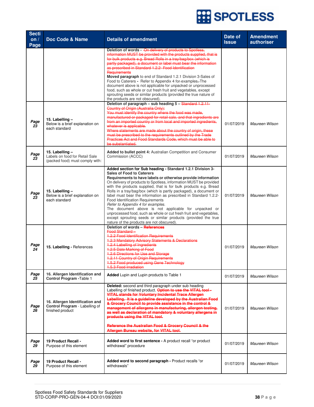| <b>Secti</b><br>on/<br>Page | Doc Code & Name                                                                       | <b>Details of amendment</b>                                                                                                                                                                                                                                                                                                                                                                                                                                                                                                                                                                                                                                                                                                                                           | Date of<br><b>Issue</b> | <b>Amendment</b><br>authoriser |
|-----------------------------|---------------------------------------------------------------------------------------|-----------------------------------------------------------------------------------------------------------------------------------------------------------------------------------------------------------------------------------------------------------------------------------------------------------------------------------------------------------------------------------------------------------------------------------------------------------------------------------------------------------------------------------------------------------------------------------------------------------------------------------------------------------------------------------------------------------------------------------------------------------------------|-------------------------|--------------------------------|
|                             |                                                                                       | Deletion of words - On delivery of products to Spotless,<br>information MUST be provided with the products supplied, that is<br>for bulk products e.g. Bread Rolls in a tray/bag/box (which is<br>partly packaged), a document or label must bear the information<br>as prescribed in Standard 1.2.2- Food Identification<br>Requirements<br>Moved paragraph to end of Standard 1.2.1 Division 3-Sales of<br>Food to Caterers - Refer to Appendix 4 for-examples-The<br>document above is not applicable for unpacked or unprocessed<br>food, such as whole or cut fresh fruit and vegetables, except<br>sprouting seeds or similar products (provided the true nature of<br>the products are not obscured).                                                          |                         |                                |
| Page<br>23                  | 15. Labelling -<br>Below is a brief explanation on<br>each standard                   | Deletion of paragraph - sub heading 5 - Standard 1.2.11-<br><b>Country of Origin (Australia Only):</b><br>You must identify the country where the food was made,<br>manufactured or packaged for retail sale, and that ingredients are<br>from an imported country or from local and imported ingredients,<br>whatever is applicable.<br>Where statements are made about the country of origin, these<br>must be prescribed to the requirements outlined by the Trade<br><b>Practices Act and Food Standards Code, which must be able to</b><br>be substantiated.                                                                                                                                                                                                     | 01/07/2019              | Maureen Wilson                 |
| Page<br>23                  | 15. Labelling -<br>Labels on food for Retail Sale<br>(packed food) must comply with:  | Added to bullet point 4: Australian Competition and Consumer<br>Commission (ACCC)                                                                                                                                                                                                                                                                                                                                                                                                                                                                                                                                                                                                                                                                                     | 01/07/2019              | Maureen Wilson                 |
| Page<br>23                  | 15. Labelling -<br>Below is a brief explanation on<br>each standard                   | Added section for Sub heading - Standard 1.2.1 Division 3-<br><b>Sales of Food to Caterers</b><br>Requirements to have labels or otherwise provide information<br>On delivery of products to Spotless, information MUST be provided<br>with the products supplied, that is for bulk products e.g. Bread<br>Rolls in a tray/bag/box (which is partly packaged), a document or<br>label must bear the information as prescribed in Standard 1.2.2-<br>Food Identification Requirements<br>Refer to Appendix 4 for examples.<br>The document above is not applicable for unpacked or<br>unprocessed food, such as whole or cut fresh fruit and vegetables,<br>except sprouting seeds or similar products (provided the true<br>nature of the products are not obscured). | 01/07/2019              | Maureen Wilson                 |
| Page<br>24                  | 15. Labelling - References                                                            | Deletion of words - References<br>Food Standard-<br>1.2.2 Food Identification Requirements<br><b>1.2.3 Mandatory Advisory Statements &amp; Declarations</b><br>1.2.4 Labelling of Ingredients<br>1.2.5 Date Marking of Food<br>1.2.6 Directions for Use and Storage<br>1.2.11 Country of Origin Requirements<br>1.5.2 Food produced using Gene Technology<br><b>1.5.3 Food Irradiation</b>                                                                                                                                                                                                                                                                                                                                                                            | 01/07/2019              | Maureen Wilson                 |
| Page<br>25                  | 16. Allergen Identification and<br>Control Program - Table 1                          | <b>Added</b> Lupin and Lupin products to Table 1                                                                                                                                                                                                                                                                                                                                                                                                                                                                                                                                                                                                                                                                                                                      | 01/07/2019              | Maureen Wilson                 |
| Page<br>26                  | 16. Allergen Identification and<br>Control Program - Labelling of<br>finished product | Deleted: second and third paragraph under sub heading<br>Labelling of finished product. Option to use the VITAL tool-<br>VITAL stands for Voluntary Incidental Trace Allergen<br>Labelling. It is a guideline developed by the Australian Food<br>& Grocery Council to provide assistance in the control &<br>management of allergens in manufacturing, allergen testing,<br>as well as declaration of mandatory & voluntary allergens in<br>products using the VITAL tool.<br><b>Reference the Australian Food &amp; Grocery Council &amp; the</b><br>Allergen Bureau website, for VITAL tool.                                                                                                                                                                       | 01/07/2019              | Maureen Wilson                 |
| Page<br>29                  | 19 Product Recall -<br>Purpose of this element                                        | Added word to first sentence - A product recall "or product<br>withdrawal" procedure                                                                                                                                                                                                                                                                                                                                                                                                                                                                                                                                                                                                                                                                                  | 01/07/2019              | Maureen Wilson                 |
| Page<br>29                  | 19 Product Recall -<br>Purpose of this element                                        | Added word to second paragraph - Product recalls "or<br>withdrawals"                                                                                                                                                                                                                                                                                                                                                                                                                                                                                                                                                                                                                                                                                                  | 01/07/2019              | Maureen Wilson                 |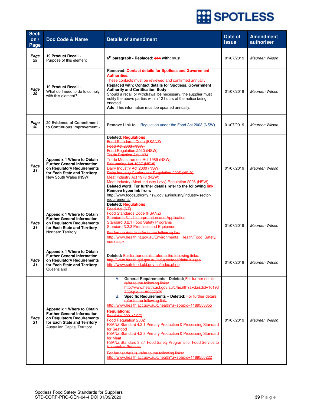| <b>Secti</b><br>on/<br>Page | Doc Code & Name                                                                                                                                                              | <b>Details of amendment</b>                                                                                                                                                                                                                                                                                                                                                                                                                                                                                                                                                                                                                                                                                                                                                             | <b>Date of</b><br><b>Issue</b> | <b>Amendment</b><br>authoriser |
|-----------------------------|------------------------------------------------------------------------------------------------------------------------------------------------------------------------------|-----------------------------------------------------------------------------------------------------------------------------------------------------------------------------------------------------------------------------------------------------------------------------------------------------------------------------------------------------------------------------------------------------------------------------------------------------------------------------------------------------------------------------------------------------------------------------------------------------------------------------------------------------------------------------------------------------------------------------------------------------------------------------------------|--------------------------------|--------------------------------|
| Page<br>29                  | 19 Product Recall -<br>Purpose of this element                                                                                                                               | 6 <sup>th</sup> paragraph - Replaced: can with: must                                                                                                                                                                                                                                                                                                                                                                                                                                                                                                                                                                                                                                                                                                                                    | 01/07/2019                     | Maureen Wilson                 |
| Page<br>29                  | 19 Product Recall -<br>What do I need to do to comply<br>with this element?                                                                                                  | Removed: Contact details for Spotless and Government<br><b>Authorities.</b><br>These contacts must be reviewed and confirmed annually.<br>Replaced with: Contact details for Spotless, Government<br><b>Authority and Certification Body</b><br>Should a recall or withdrawal be necessary, the supplier must<br>notify the above parties within 12 hours of the notice being<br>enacted.<br>Add: This information must be updated annually.                                                                                                                                                                                                                                                                                                                                            | 01/07/2019                     | Maureen Wilson                 |
| Page<br>30                  | 20 Evidence of Commitment<br>to Continuous Improvement -                                                                                                                     | <b>Remove Link to -</b> Regulation under the Food Act 2003 (NSW)                                                                                                                                                                                                                                                                                                                                                                                                                                                                                                                                                                                                                                                                                                                        | 01/07/2019                     | Maureen Wilson                 |
| Page<br>31                  | <b>Appendix 1 Where to Obtain</b><br><b>Further General Information</b><br>on Regulatory Reguirements<br>for Each State and Territory<br>New South Wales (NSW)               | Deleted: Regulations:<br>Food Standards Code (FSANZ)<br>Food Act 2003 (NSW)<br>Food Regulation 2010 (NSW)<br><b>Trade Practice Act 1974</b><br>Trade Measurement Act 1989 (NSW)<br>Fair trading Act 1987 (NSW)<br>Dairy Industry Act 2000 (NSW)<br>Dairy Industry Conference Regulation 2005 (NSW)<br>Meat Industry Act 1978 (NSW)<br>Meat Industry (Meat Industry Levy) Regulation 2006 (NSW)<br>Deleted word: For further details refer to the following link:<br>Remove hyperlink from:<br>http://www.foodauthority.nsw.gov.au/industry/industry-sector-<br>requirements/                                                                                                                                                                                                            | 01/07/2019                     | Maureen Wilson                 |
| Page<br>31                  | <b>Appendix 1 Where to Obtain</b><br><b>Further General Information</b><br>on Regulatory Requirements<br>for Each State and Territory<br>Northern Territory                  | Deleted: Regulations:<br>Food Act (NT)<br><b>Food Standards Gode (FSANZ)</b><br>Standards 3.1.1 Interpretation and Application<br><b>Standard 3.2.1 Food Safety Programs</b><br><b>Standard 3.2.3 Premises and Equipment</b><br>For further details refer to the following link<br>http://www.health.nt.gov.au/Environmental Health/Food Safety/i<br>ndex.aspx                                                                                                                                                                                                                                                                                                                                                                                                                          | 01/07/2019                     | Maureen Wilson                 |
| Page<br>31                  | Appendix 1 Where to Obtain<br><b>Further General Information</b><br>on Regulatory Requirements<br>for Each State and Territory<br>Queensland                                 | Deleted: For further details refer to the following links:<br>http://www.health.qld.gov.au/industry/food/default.aspp<br>http://www.safefood.gld.gov.au/index.phpp                                                                                                                                                                                                                                                                                                                                                                                                                                                                                                                                                                                                                      | 01/07/2019                     | Maureen Wilson                 |
| Page<br>31                  | <b>Appendix 1 Where to Obtain</b><br><b>Further General Information</b><br>on Regulatory Requirements<br>for Each State and Territory<br><b>Australian Capital Territory</b> | General Requirements - Deleted: For further details<br>А.<br>refer to the following links:<br>http://www.health.act.gov.au/c/health?a=da&did=10193<br>739&pid=1189387875<br>Specific Requirements - Deleted: For further details,<br>B.<br>refer to the following link:<br>http://www.health.act.gov.au/c/health?a=sp&pid=1189558855<br><b>Requlations:</b><br>Food Act 2001(ACT)<br>Food Regulation 2002<br>FSANZ Standard 4.2.1 Primary Production & Processing Standard<br>for Seafood<br>FSANZ Standard 4.2.3 Primary Production & Processing Standard<br>for Meat<br>FSANZ Standard 3.3.1 Food Safety Programs for Food Service to<br><b>Vulnerable Persons</b><br>For further details, refer to the following links:<br>http://www.health.act.gov.au/c/health?a=sp&pid=1189556222 | 01/07/2019                     | Maureen Wilson                 |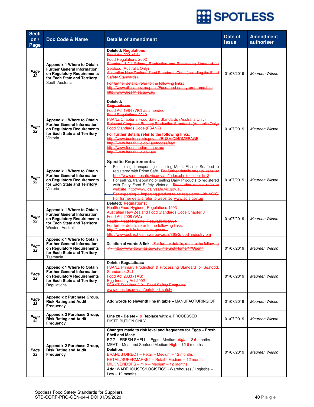| <b>Secti</b><br>$\overline{\text{on}}$ /<br>Page | Doc Code & Name                                                                                                                                          | <b>Details of amendment</b>                                                                                                                                                                                                                                                                                                                                                                                                                                                                                                                | Date of<br><b>Issue</b> | <b>Amendment</b><br>authoriser |
|--------------------------------------------------|----------------------------------------------------------------------------------------------------------------------------------------------------------|--------------------------------------------------------------------------------------------------------------------------------------------------------------------------------------------------------------------------------------------------------------------------------------------------------------------------------------------------------------------------------------------------------------------------------------------------------------------------------------------------------------------------------------------|-------------------------|--------------------------------|
| Page<br>32                                       | <b>Appendix 1 Where to Obtain</b><br><b>Further General Information</b><br>on Regulatory Requirements<br>for Each State and Territory<br>South Australia | Deleted:-Regulations:<br>Food Act 2001(SA)<br><b>Food Regulations 2002</b><br>Standard 4.2.1 Primary Production and Processing Standard for<br>Seafood (Australia Only)<br>Australian New Zealand Food Standards Code (including the Food<br>Safety Standards).<br>For further details, refer to the following links:<br>http://www.dh.sa.gov.au/pehs/Food/food-safety-programs.htm<br>http://www.health.sa.gov.au/                                                                                                                        | 01/07/2019              | Maureen Wilson                 |
| Page<br>32                                       | <b>Appendix 1 Where to Obtain</b><br><b>Further General Information</b><br>on Regulatory Requirements<br>for Each State and Territory<br>Victoria        | Deleted:<br><b>Regulations:</b><br>Food Act 1984 (VIC) as amended<br><b>Food Regulations 2010</b><br><b>FSANZ Chapter 3 Food Safety Standards (Australia Only)</b><br>Relevant Chapter 4 Primary Production Standards (Australia Only)<br>Food Standards Code (FSANZ)<br>For further details refer to the following links:<br>http://www.business.vic.gov.au/BUSVIC/HOMEPAGE<br>http://www.health.vic.gov.au/foodsafety/<br>http://www.foodstandards.gov.au/<br>http://www.health.vic.gov.au/                                              | 01/07/2019              | Maureen Wilson                 |
| Page<br>32                                       | <b>Appendix 1 Where to Obtain</b><br>Further General Information<br>on Regulatory Requirements<br>for Each State and Territory<br>Victoria               | <b>Specific Requirements:</b><br>For selling, transporting or selling Meat, Fish or Seafood to<br>registered with Prime Safe. For further details refer to website:<br>http://www.primesafe.vic.gov.au/index.php?sectionid=12<br>For selling, transporting or selling Dairy Products to registered<br>with Dairy Food Safety Victoria. For further details refer to<br>website: http://www.dairysafe.vic.gov.au/<br>For exporting & importing product to be registered with AQIS.<br>For further details refer to website: www.aqis.gov.au | 01/07/2019              | Maureen Wilson                 |
| Page<br>32                                       | Appendix 1 Where to Obtain<br><b>Further General Information</b><br>on Regulatory Requirements<br>for Each State and Territory<br>Western Australia      | Deleted: Regulations:<br>Health (Food Hygiene) Regulations 1993<br>Australian New Zealand Food Standards Code Chapter 3<br>Food Act 2008 (WA)<br>Health (Meat Hygiene) Regulations 2001<br>For further details refer to the following links:<br>http://www.public.health.wa.gov.au//<br>http://www.public.health.wa.gov.au/2/865/2/food industry.pm                                                                                                                                                                                        | 01/07/2019              | Maureen Wilson                 |
| Page<br>32                                       | Appendix 1 Where to Obtain<br><b>Further General Information</b><br>on Regulatory Requirements<br>for Each State and Territory<br>Tasmania               | Deletion of words & link - For further details, refer to the following<br>link: http://www.dpiw.tas.gov.au/inter.nsf/Home/1?Openn                                                                                                                                                                                                                                                                                                                                                                                                          | 01/07/2019              | Maureen Wilson                 |
| Page<br>32                                       | <b>Appendix 1 Where to Obtain</b><br><b>Further General Information</b><br>on Regulatory Requirements<br>for Each State and Territory<br>Regulations     | Delete: Regulations:<br><b>FSANZ Primary Production &amp; Processing Standard for Seafood,</b><br>Standard 4.2.1<br>Food Act 2033 (TAS)<br>Egg Industry Act 2002<br>FSANZ Standard 3.2.1 Food Safety Programs<br>www.dhhs.tas.gov.au/peh/food safety                                                                                                                                                                                                                                                                                       | 01/07/2019              | Maureen Wilson                 |
| Page<br>33                                       | Appendix 2 Purchase Group,<br><b>Risk Rating and Audit</b><br>Frequency                                                                                  | Add words to eleventh line in table - MANUFACTURING OF                                                                                                                                                                                                                                                                                                                                                                                                                                                                                     | 01/07/2019              | Maureen Wilson                 |
| Page<br>33                                       | Appendix 2 Purchase Group,<br><b>Risk Rating and Audit</b><br>Frequency                                                                                  | Line 20 - Delete - $\&$ Replace with: $&$ PROCESSED<br><b>DISTRIBUTION ONLY</b>                                                                                                                                                                                                                                                                                                                                                                                                                                                            | 01/07/2019              | Maureen Wilson                 |
| Page<br>33                                       | Appendix 2 Purchase Group,<br><b>Risk Rating and Audit</b><br>Frequency                                                                                  | Changes made to risk level and frequency for Eggs - Fresh<br><b>Shell and Meat:</b><br>EGG - FRESH SHELL - Eggs - Medium High - 12 6 months<br>MEAT – Meat and Seafood Medium $High - 126$ months<br>Deletion:<br>BRANDS DIRECT - Retail - Medium - 12 months<br>RETAIL/SUPERMARKET - Retail - Medium - 12 months<br>MILK VENDORS - milk - Medium - 12 months<br><b>Add:</b> WAREHOUSES/LOGISTICS - Warehouses / Logistics -<br>$Low - 12$ months                                                                                          | 01/07/2019              | Maureen Wilson                 |